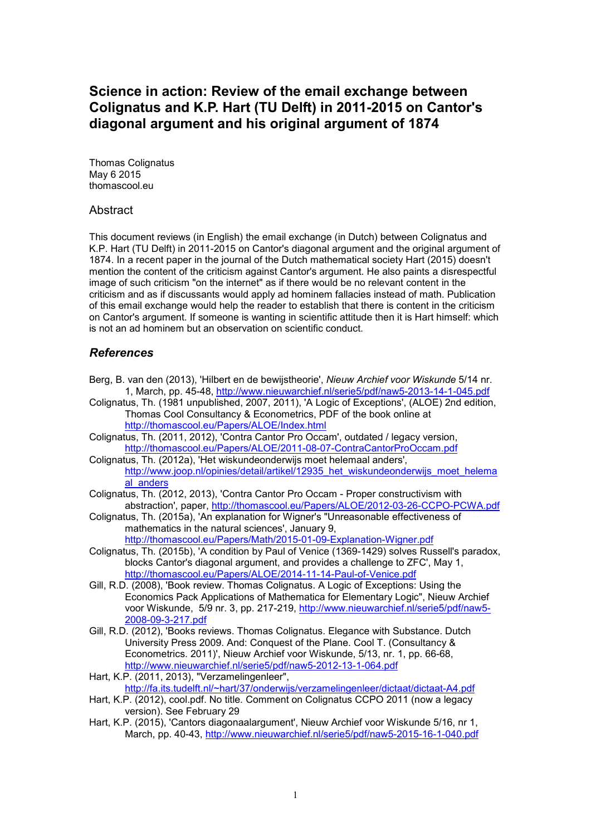# **Science in action: Review of the email exchange between Colignatus and K.P. Hart (TU Delft) in 2011-2015 on Cantor's diagonal argument and his original argument of 1874**

Thomas Colignatus May 6 2015 thomascool.eu

### **Abstract**

This document reviews (in English) the email exchange (in Dutch) between Colignatus and K.P. Hart (TU Delft) in 2011-2015 on Cantor's diagonal argument and the original argument of 1874. In a recent paper in the journal of the Dutch mathematical society Hart (2015) doesn't mention the content of the criticism against Cantor's argument. He also paints a disrespectful image of such criticism "on the internet" as if there would be no relevant content in the criticism and as if discussants would apply ad hominem fallacies instead of math. Publication of this email exchange would help the reader to establish that there is content in the criticism on Cantor's argument. If someone is wanting in scientific attitude then it is Hart himself: which is not an ad hominem but an observation on scientific conduct.

### *References*

- Berg, B. van den (2013), 'Hilbert en de bewijstheorie', *Nieuw Archief voor Wiskunde* 5/14 nr. 1, March, pp. 45-48, http://www.nieuwarchief.nl/serie5/pdf/naw5-2013-14-1-045.pdf
- Colignatus, Th. (1981 unpublished, 2007, 2011), 'A Logic of Exceptions', (ALOE) 2nd edition, Thomas Cool Consultancy & Econometrics, PDF of the book online at http://thomascool.eu/Papers/ALOE/Index.html
- Colignatus, Th. (2011, 2012), 'Contra Cantor Pro Occam', outdated / legacy version, http://thomascool.eu/Papers/ALOE/2011-08-07-ContraCantorProOccam.pdf
- Colignatus, Th. (2012a), 'Het wiskundeonderwijs moet helemaal anders', http://www.joop.nl/opinies/detail/artikel/12935\_het\_wiskundeonderwijs\_moet\_helema al anders
- Colignatus, Th. (2012, 2013), 'Contra Cantor Pro Occam Proper constructivism with abstraction', paper, http://thomascool.eu/Papers/ALOE/2012-03-26-CCPO-PCWA.pdf
- Colignatus, Th. (2015a), 'An explanation for Wigner's "Unreasonable effectiveness of mathematics in the natural sciences', January 9, http://thomascool.eu/Papers/Math/2015-01-09-Explanation-Wigner.pdf
- Colignatus, Th. (2015b), 'A condition by Paul of Venice (1369-1429) solves Russell's paradox, blocks Cantor's diagonal argument, and provides a challenge to ZFC', May 1, http://thomascool.eu/Papers/ALOE/2014-11-14-Paul-of-Venice.pdf
- Gill, R.D. (2008), 'Book review. Thomas Colignatus. A Logic of Exceptions: Using the Economics Pack Applications of Mathematica for Elementary Logic", Nieuw Archief voor Wiskunde, 5/9 nr. 3, pp. 217-219, http://www.nieuwarchief.nl/serie5/pdf/naw5- 2008-09-3-217.pdf
- Gill, R.D. (2012), 'Books reviews. Thomas Colignatus. Elegance with Substance. Dutch University Press 2009. And: Conquest of the Plane. Cool T. (Consultancy & Econometrics. 2011)', Nieuw Archief voor Wiskunde, 5/13, nr. 1, pp. 66-68, http://www.nieuwarchief.nl/serie5/pdf/naw5-2012-13-1-064.pdf
- Hart, K.P. (2011, 2013), "Verzamelingenleer", http://fa.its.tudelft.nl/~hart/37/onderwijs/verzamelingenleer/dictaat/dictaat-A4.pdf
- Hart, K.P. (2012), cool.pdf. No title. Comment on Colignatus CCPO 2011 (now a legacy version). See February 29
- Hart, K.P. (2015), 'Cantors diagonaalargument', Nieuw Archief voor Wiskunde 5/16, nr 1, March, pp. 40-43, http://www.nieuwarchief.nl/serie5/pdf/naw5-2015-16-1-040.pdf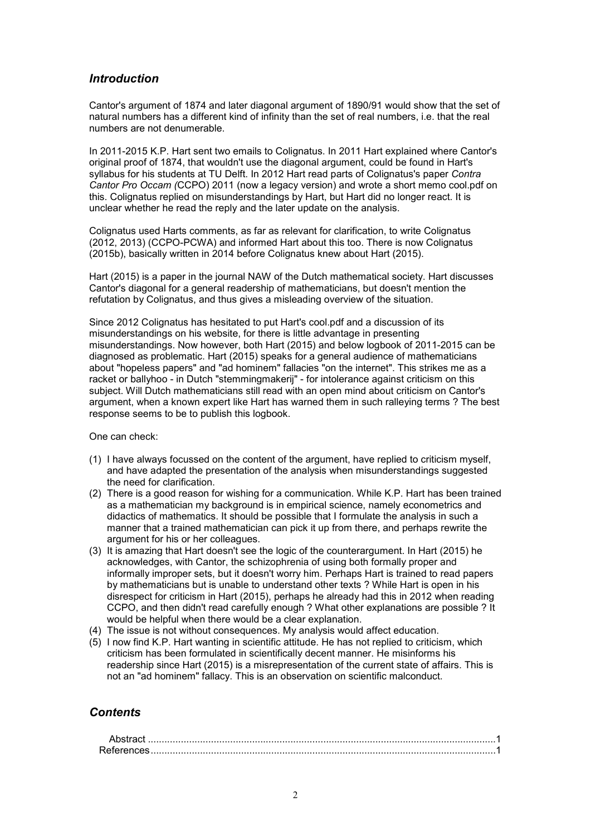## *Introduction*

Cantor's argument of 1874 and later diagonal argument of 1890/91 would show that the set of natural numbers has a different kind of infinity than the set of real numbers, i.e. that the real numbers are not denumerable.

In 2011-2015 K.P. Hart sent two emails to Colignatus. In 2011 Hart explained where Cantor's original proof of 1874, that wouldn't use the diagonal argument, could be found in Hart's syllabus for his students at TU Delft. In 2012 Hart read parts of Colignatus's paper *Contra Cantor Pro Occam (*CCPO) 2011 (now a legacy version) and wrote a short memo cool.pdf on this. Colignatus replied on misunderstandings by Hart, but Hart did no longer react. It is unclear whether he read the reply and the later update on the analysis.

Colignatus used Harts comments, as far as relevant for clarification, to write Colignatus (2012, 2013) (CCPO-PCWA) and informed Hart about this too. There is now Colignatus (2015b), basically written in 2014 before Colignatus knew about Hart (2015).

Hart (2015) is a paper in the journal NAW of the Dutch mathematical society. Hart discusses Cantor's diagonal for a general readership of mathematicians, but doesn't mention the refutation by Colignatus, and thus gives a misleading overview of the situation.

Since 2012 Colignatus has hesitated to put Hart's cool.pdf and a discussion of its misunderstandings on his website, for there is little advantage in presenting misunderstandings. Now however, both Hart (2015) and below logbook of 2011-2015 can be diagnosed as problematic. Hart (2015) speaks for a general audience of mathematicians about "hopeless papers" and "ad hominem" fallacies "on the internet". This strikes me as a racket or ballyhoo - in Dutch "stemmingmakerij" - for intolerance against criticism on this subject. Will Dutch mathematicians still read with an open mind about criticism on Cantor's argument, when a known expert like Hart has warned them in such ralleying terms ? The best response seems to be to publish this logbook.

One can check:

- (1) I have always focussed on the content of the argument, have replied to criticism myself, and have adapted the presentation of the analysis when misunderstandings suggested the need for clarification.
- (2) There is a good reason for wishing for a communication. While K.P. Hart has been trained as a mathematician my background is in empirical science, namely econometrics and didactics of mathematics. It should be possible that I formulate the analysis in such a manner that a trained mathematician can pick it up from there, and perhaps rewrite the argument for his or her colleagues.
- (3) It is amazing that Hart doesn't see the logic of the counterargument. In Hart (2015) he acknowledges, with Cantor, the schizophrenia of using both formally proper and informally improper sets, but it doesn't worry him. Perhaps Hart is trained to read papers by mathematicians but is unable to understand other texts ? While Hart is open in his disrespect for criticism in Hart (2015), perhaps he already had this in 2012 when reading CCPO, and then didn't read carefully enough ? What other explanations are possible ? It would be helpful when there would be a clear explanation.
- (4) The issue is not without consequences. My analysis would affect education.
- (5) I now find K.P. Hart wanting in scientific attitude. He has not replied to criticism, which criticism has been formulated in scientifically decent manner. He misinforms his readership since Hart (2015) is a misrepresentation of the current state of affairs. This is not an "ad hominem" fallacy. This is an observation on scientific malconduct.

# *Contents*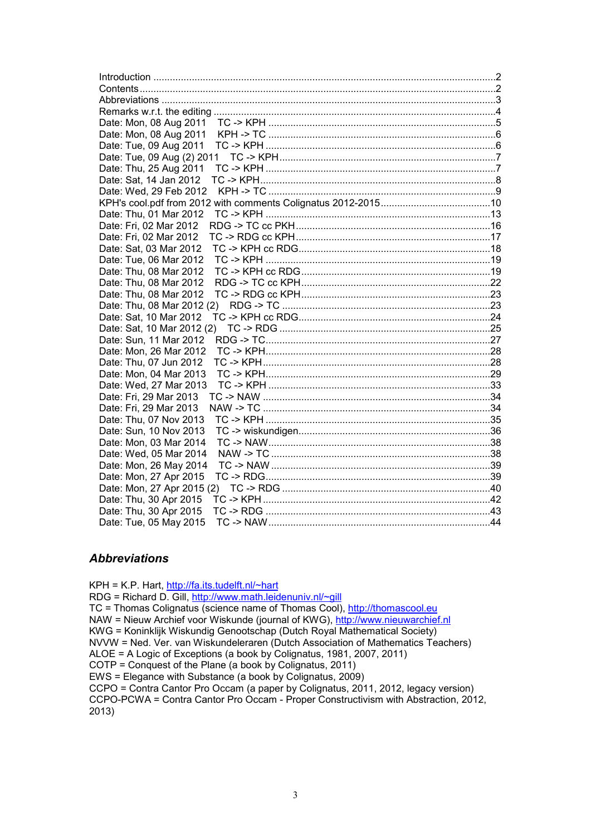| Date: Mon, 08 Aug 2011     |  |
|----------------------------|--|
| Date: Mon, 08 Aug 2011     |  |
| Date: Tue, 09 Aug 2011     |  |
| Date: Tue, 09 Aug (2) 2011 |  |
| Date: Thu, 25 Aug 2011     |  |
| Date: Sat, 14 Jan 2012     |  |
| Date: Wed, 29 Feb 2012     |  |
|                            |  |
| Date: Thu, 01 Mar 2012     |  |
| Date: Fri, 02 Mar 2012     |  |
| Date: Fri, 02 Mar 2012     |  |
| Date: Sat, 03 Mar 2012     |  |
| Date: Tue, 06 Mar 2012     |  |
| Date: Thu, 08 Mar 2012     |  |
| Date: Thu, 08 Mar 2012     |  |
| Date: Thu, 08 Mar 2012     |  |
| Date: Thu, 08 Mar 2012 (2) |  |
| Date: Sat, 10 Mar 2012     |  |
| Date: Sat, 10 Mar 2012 (2) |  |
| Date: Sun, 11 Mar 2012     |  |
| Date: Mon, 26 Mar 2012     |  |
| Date: Thu, 07 Jun 2012     |  |
| Date: Mon, 04 Mar 2013     |  |
| Date: Wed, 27 Mar 2013     |  |
| Date: Fri, 29 Mar 2013     |  |
| Date: Fri, 29 Mar 2013     |  |
| Date: Thu, 07 Nov 2013     |  |
| Date: Sun, 10 Nov 2013     |  |
| Date: Mon, 03 Mar 2014     |  |
| Date: Wed, 05 Mar 2014     |  |
| Date: Mon, 26 May 2014     |  |
| Date: Mon, 27 Apr 2015     |  |
| Date: Mon, 27 Apr 2015 (2) |  |
| Date: Thu, 30 Apr 2015     |  |
| Date: Thu, 30 Apr 2015     |  |
| Date: Tue, 05 May 2015     |  |

### *Abbreviations*

KPH = K.P. Hart, http://fa.its.tudelft.nl/~hart RDG = Richard D. Gill, http://www.math.leidenuniv.nl/~gill TC = Thomas Colignatus (science name of Thomas Cool), http://thomascool.eu NAW = Nieuw Archief voor Wiskunde (journal of KWG), http://www.nieuwarchief.nl KWG = Koninklijk Wiskundig Genootschap (Dutch Royal Mathematical Society) NVVW = Ned. Ver. van Wiskundeleraren (Dutch Association of Mathematics Teachers) ALOE = A Logic of Exceptions (a book by Colignatus, 1981, 2007, 2011) COTP = Conquest of the Plane (a book by Colignatus, 2011) EWS = Elegance with Substance (a book by Colignatus, 2009) CCPO = Contra Cantor Pro Occam (a paper by Colignatus, 2011, 2012, legacy version) CCPO-PCWA = Contra Cantor Pro Occam - Proper Constructivism with Abstraction, 2012, 2013)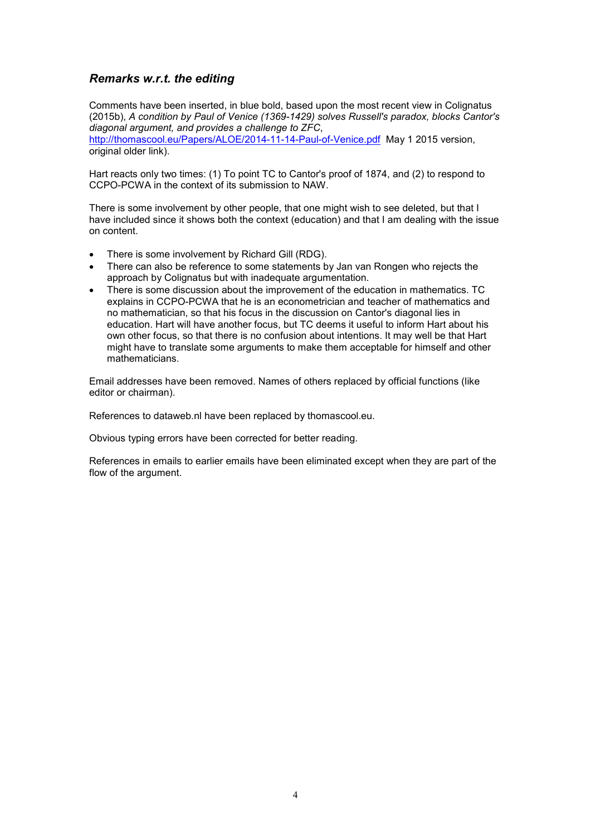## *Remarks w.r.t. the editing*

Comments have been inserted, in blue bold, based upon the most recent view in Colignatus (2015b), *A condition by Paul of Venice (1369-1429) solves Russell's paradox, blocks Cantor's diagonal argument, and provides a challenge to ZFC*,

http://thomascool.eu/Papers/ALOE/2014-11-14-Paul-of-Venice.pdf May 1 2015 version, original older link).

Hart reacts only two times: (1) To point TC to Cantor's proof of 1874, and (2) to respond to CCPO-PCWA in the context of its submission to NAW.

There is some involvement by other people, that one might wish to see deleted, but that I have included since it shows both the context (education) and that I am dealing with the issue on content.

- There is some involvement by Richard Gill (RDG).
- There can also be reference to some statements by Jan van Rongen who rejects the approach by Colignatus but with inadequate argumentation.
- There is some discussion about the improvement of the education in mathematics. TC explains in CCPO-PCWA that he is an econometrician and teacher of mathematics and no mathematician, so that his focus in the discussion on Cantor's diagonal lies in education. Hart will have another focus, but TC deems it useful to inform Hart about his own other focus, so that there is no confusion about intentions. It may well be that Hart might have to translate some arguments to make them acceptable for himself and other mathematicians.

Email addresses have been removed. Names of others replaced by official functions (like editor or chairman).

References to dataweb.nl have been replaced by thomascool.eu.

Obvious typing errors have been corrected for better reading.

References in emails to earlier emails have been eliminated except when they are part of the flow of the argument.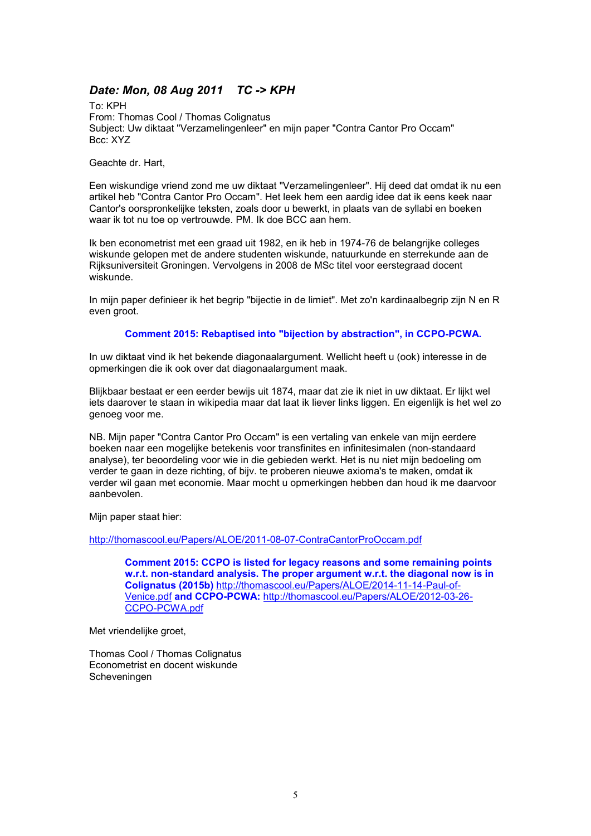# *Date: Mon, 08 Aug 2011 TC -> KPH*

To: KPH From: Thomas Cool / Thomas Colignatus Subject: Uw diktaat "Verzamelingenleer" en mijn paper "Contra Cantor Pro Occam" Bcc: XYZ

Geachte dr. Hart,

Een wiskundige vriend zond me uw diktaat "Verzamelingenleer". Hij deed dat omdat ik nu een artikel heb "Contra Cantor Pro Occam". Het leek hem een aardig idee dat ik eens keek naar Cantor's oorspronkelijke teksten, zoals door u bewerkt, in plaats van de syllabi en boeken waar ik tot nu toe op vertrouwde. PM. Ik doe BCC aan hem.

Ik ben econometrist met een graad uit 1982, en ik heb in 1974-76 de belangrijke colleges wiskunde gelopen met de andere studenten wiskunde, natuurkunde en sterrekunde aan de Rijksuniversiteit Groningen. Vervolgens in 2008 de MSc titel voor eerstegraad docent wiskunde.

In mijn paper definieer ik het begrip "bijectie in de limiet". Met zo'n kardinaalbegrip zijn N en R even groot.

#### **Comment 2015: Rebaptised into "bijection by abstraction", in CCPO-PCWA.**

In uw diktaat vind ik het bekende diagonaalargument. Wellicht heeft u (ook) interesse in de opmerkingen die ik ook over dat diagonaalargument maak.

Blijkbaar bestaat er een eerder bewijs uit 1874, maar dat zie ik niet in uw diktaat. Er lijkt wel iets daarover te staan in wikipedia maar dat laat ik liever links liggen. En eigenlijk is het wel zo genoeg voor me.

NB. Mijn paper "Contra Cantor Pro Occam" is een vertaling van enkele van mijn eerdere boeken naar een mogelijke betekenis voor transfinites en infinitesimalen (non-standaard analyse), ter beoordeling voor wie in die gebieden werkt. Het is nu niet mijn bedoeling om verder te gaan in deze richting, of bijv. te proberen nieuwe axioma's te maken, omdat ik verder wil gaan met economie. Maar mocht u opmerkingen hebben dan houd ik me daarvoor aanbevolen.

Mijn paper staat hier:

http://thomascool.eu/Papers/ALOE/2011-08-07-ContraCantorProOccam.pdf

**Comment 2015: CCPO is listed for legacy reasons and some remaining points w.r.t. non-standard analysis. The proper argument w.r.t. the diagonal now is in Colignatus (2015b)** http://thomascool.eu/Papers/ALOE/2014-11-14-Paul-of-Venice.pdf **and CCPO-PCWA:** http://thomascool.eu/Papers/ALOE/2012-03-26- CCPO-PCWA.pdf

Met vriendelijke groet,

Thomas Cool / Thomas Colignatus Econometrist en docent wiskunde Scheveningen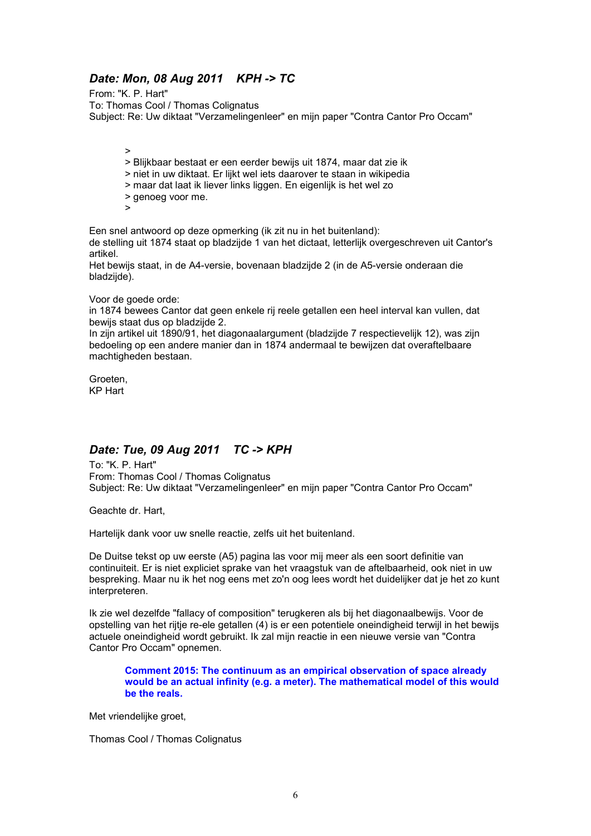# *Date: Mon, 08 Aug 2011 KPH -> TC*

From: "K. P. Hart" To: Thomas Cool / Thomas Colignatus Subject: Re: Uw diktaat "Verzamelingenleer" en mijn paper "Contra Cantor Pro Occam"

>

- > Blijkbaar bestaat er een eerder bewijs uit 1874, maar dat zie ik
- > niet in uw diktaat. Er lijkt wel iets daarover te staan in wikipedia
- > maar dat laat ik liever links liggen. En eigenlijk is het wel zo
- > genoeg voor me.
- $\overline{\phantom{a}}$

Een snel antwoord op deze opmerking (ik zit nu in het buitenland):

de stelling uit 1874 staat op bladzijde 1 van het dictaat, letterlijk overgeschreven uit Cantor's artikel.

Het bewijs staat, in de A4-versie, bovenaan bladzijde 2 (in de A5-versie onderaan die bladzijde).

#### Voor de goede orde:

in 1874 bewees Cantor dat geen enkele rij reele getallen een heel interval kan vullen, dat bewijs staat dus op bladzijde 2.

In zijn artikel uit 1890/91, het diagonaalargument (bladzijde 7 respectievelijk 12), was zijn bedoeling op een andere manier dan in 1874 andermaal te bewijzen dat overaftelbaare machtigheden bestaan.

Groeten, KP Hart

# *Date: Tue, 09 Aug 2011 TC -> KPH*

To: "K. P. Hart" From: Thomas Cool / Thomas Colignatus Subject: Re: Uw diktaat "Verzamelingenleer" en mijn paper "Contra Cantor Pro Occam"

Geachte dr. Hart,

Hartelijk dank voor uw snelle reactie, zelfs uit het buitenland.

De Duitse tekst op uw eerste (A5) pagina las voor mij meer als een soort definitie van continuiteit. Er is niet expliciet sprake van het vraagstuk van de aftelbaarheid, ook niet in uw bespreking. Maar nu ik het nog eens met zo'n oog lees wordt het duidelijker dat je het zo kunt interpreteren.

Ik zie wel dezelfde "fallacy of composition" terugkeren als bij het diagonaalbewijs. Voor de opstelling van het rijtje re-ele getallen (4) is er een potentiele oneindigheid terwijl in het bewijs actuele oneindigheid wordt gebruikt. Ik zal mijn reactie in een nieuwe versie van "Contra Cantor Pro Occam" opnemen.

**Comment 2015: The continuum as an empirical observation of space already would be an actual infinity (e.g. a meter). The mathematical model of this would be the reals.**

Met vriendelijke groet,

Thomas Cool / Thomas Colignatus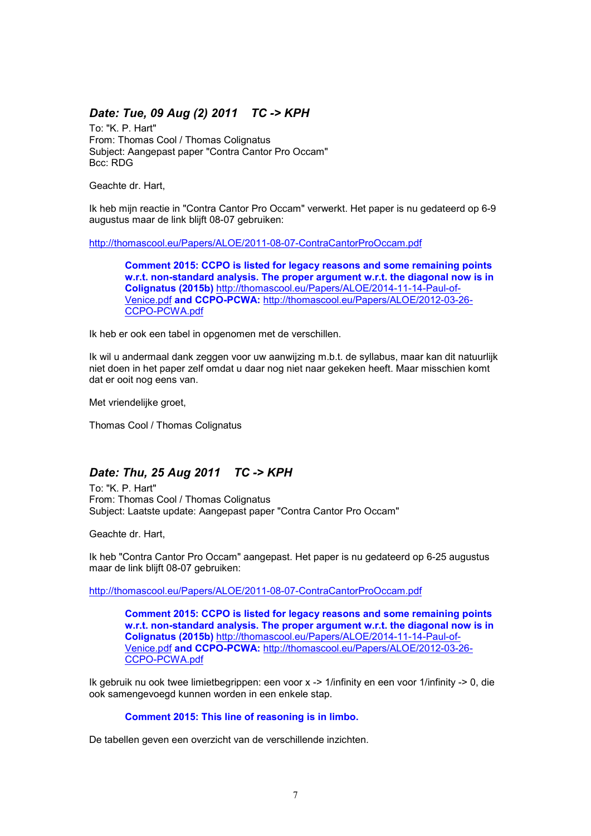## *Date: Tue, 09 Aug (2) 2011 TC -> KPH*

To: "K. P. Hart" From: Thomas Cool / Thomas Colignatus Subject: Aangepast paper "Contra Cantor Pro Occam" Bcc: RDG

Geachte dr. Hart,

Ik heb mijn reactie in "Contra Cantor Pro Occam" verwerkt. Het paper is nu gedateerd op 6-9 augustus maar de link blijft 08-07 gebruiken:

http://thomascool.eu/Papers/ALOE/2011-08-07-ContraCantorProOccam.pdf

**Comment 2015: CCPO is listed for legacy reasons and some remaining points w.r.t. non-standard analysis. The proper argument w.r.t. the diagonal now is in Colignatus (2015b)** http://thomascool.eu/Papers/ALOE/2014-11-14-Paul-of-Venice.pdf **and CCPO-PCWA:** http://thomascool.eu/Papers/ALOE/2012-03-26- CCPO-PCWA.pdf

Ik heb er ook een tabel in opgenomen met de verschillen.

Ik wil u andermaal dank zeggen voor uw aanwijzing m.b.t. de syllabus, maar kan dit natuurlijk niet doen in het paper zelf omdat u daar nog niet naar gekeken heeft. Maar misschien komt dat er ooit nog eens van.

Met vriendelijke groet,

Thomas Cool / Thomas Colignatus

### *Date: Thu, 25 Aug 2011 TC -> KPH*

To: "K. P. Hart" From: Thomas Cool / Thomas Colignatus Subject: Laatste update: Aangepast paper "Contra Cantor Pro Occam"

Geachte dr. Hart,

Ik heb "Contra Cantor Pro Occam" aangepast. Het paper is nu gedateerd op 6-25 augustus maar de link blijft 08-07 gebruiken:

http://thomascool.eu/Papers/ALOE/2011-08-07-ContraCantorProOccam.pdf

**Comment 2015: CCPO is listed for legacy reasons and some remaining points w.r.t. non-standard analysis. The proper argument w.r.t. the diagonal now is in Colignatus (2015b)** http://thomascool.eu/Papers/ALOE/2014-11-14-Paul-of-Venice.pdf **and CCPO-PCWA:** http://thomascool.eu/Papers/ALOE/2012-03-26- CCPO-PCWA.pdf

Ik gebruik nu ook twee limietbegrippen: een voor x -> 1/infinity en een voor 1/infinity -> 0, die ook samengevoegd kunnen worden in een enkele stap.

#### **Comment 2015: This line of reasoning is in limbo.**

De tabellen geven een overzicht van de verschillende inzichten.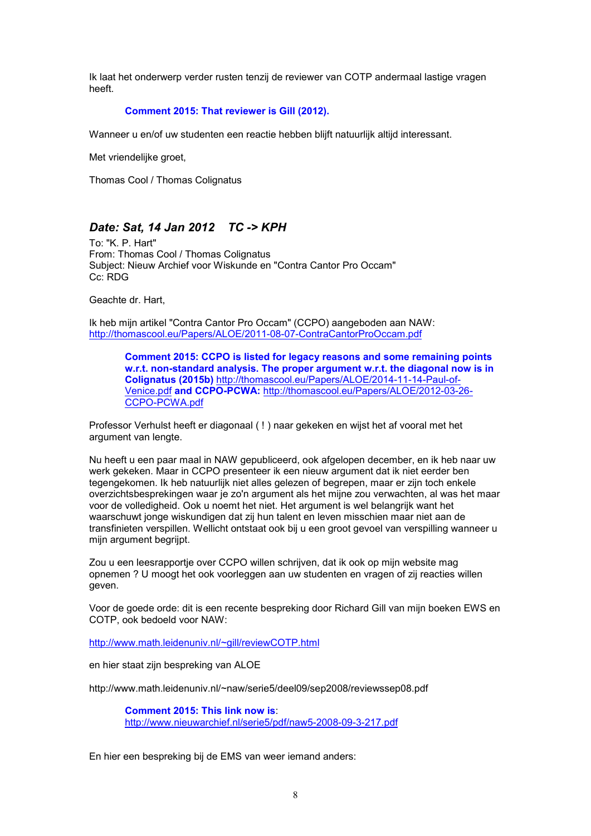Ik laat het onderwerp verder rusten tenzij de reviewer van COTP andermaal lastige vragen heeft.

#### **Comment 2015: That reviewer is Gill (2012).**

Wanneer u en/of uw studenten een reactie hebben blijft natuurlijk altijd interessant.

Met vriendelijke groet,

Thomas Cool / Thomas Colignatus

# *Date: Sat, 14 Jan 2012 TC -> KPH*

To: "K. P. Hart" From: Thomas Cool / Thomas Colignatus Subject: Nieuw Archief voor Wiskunde en "Contra Cantor Pro Occam" Cc: RDG

Geachte dr. Hart,

Ik heb mijn artikel "Contra Cantor Pro Occam" (CCPO) aangeboden aan NAW: http://thomascool.eu/Papers/ALOE/2011-08-07-ContraCantorProOccam.pdf

> **Comment 2015: CCPO is listed for legacy reasons and some remaining points w.r.t. non-standard analysis. The proper argument w.r.t. the diagonal now is in Colignatus (2015b)** http://thomascool.eu/Papers/ALOE/2014-11-14-Paul-of-Venice.pdf **and CCPO-PCWA:** http://thomascool.eu/Papers/ALOE/2012-03-26- CCPO-PCWA.pdf

Professor Verhulst heeft er diagonaal ( ! ) naar gekeken en wijst het af vooral met het argument van lengte.

Nu heeft u een paar maal in NAW gepubliceerd, ook afgelopen december, en ik heb naar uw werk gekeken. Maar in CCPO presenteer ik een nieuw argument dat ik niet eerder ben tegengekomen. Ik heb natuurlijk niet alles gelezen of begrepen, maar er zijn toch enkele overzichtsbesprekingen waar je zo'n argument als het mijne zou verwachten, al was het maar voor de volledigheid. Ook u noemt het niet. Het argument is wel belangrijk want het waarschuwt jonge wiskundigen dat zij hun talent en leven misschien maar niet aan de transfinieten verspillen. Wellicht ontstaat ook bij u een groot gevoel van verspilling wanneer u mijn argument begrijpt.

Zou u een leesrapportje over CCPO willen schrijven, dat ik ook op mijn website mag opnemen ? U moogt het ook voorleggen aan uw studenten en vragen of zij reacties willen geven.

Voor de goede orde: dit is een recente bespreking door Richard Gill van mijn boeken EWS en COTP, ook bedoeld voor NAW:

http://www.math.leidenuniv.nl/~gill/reviewCOTP.html

en hier staat zijn bespreking van ALOE

http://www.math.leidenuniv.nl/~naw/serie5/deel09/sep2008/reviewssep08.pdf

**Comment 2015: This link now is**: http://www.nieuwarchief.nl/serie5/pdf/naw5-2008-09-3-217.pdf

En hier een bespreking bij de EMS van weer iemand anders: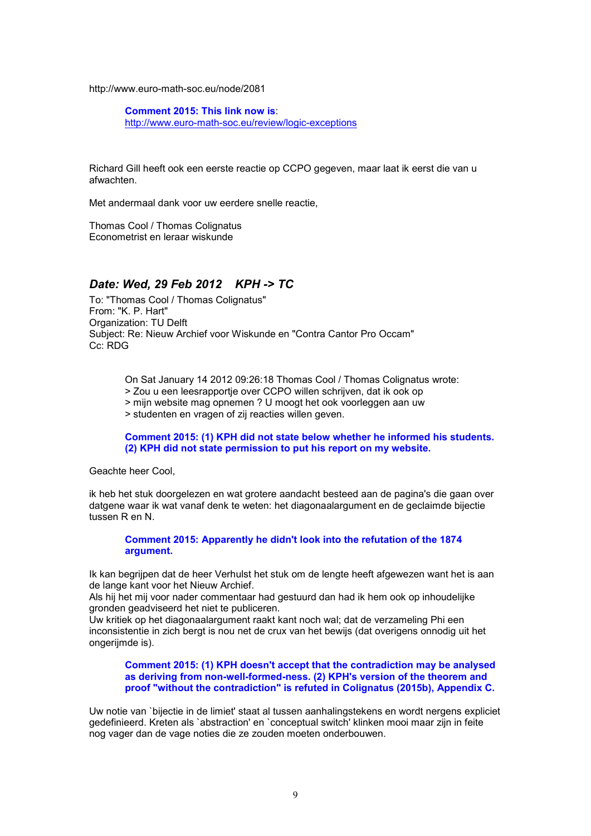http://www.euro-math-soc.eu/node/2081

**Comment 2015: This link now is**: http://www.euro-math-soc.eu/review/logic-exceptions

Richard Gill heeft ook een eerste reactie op CCPO gegeven, maar laat ik eerst die van u afwachten.

Met andermaal dank voor uw eerdere snelle reactie,

Thomas Cool / Thomas Colignatus Econometrist en leraar wiskunde

## *Date: Wed, 29 Feb 2012 KPH -> TC*

To: "Thomas Cool / Thomas Colignatus" From: "K. P. Hart" Organization: TU Delft Subject: Re: Nieuw Archief voor Wiskunde en "Contra Cantor Pro Occam" Cc: RDG

On Sat January 14 2012 09:26:18 Thomas Cool / Thomas Colignatus wrote:

> Zou u een leesrapportje over CCPO willen schrijven, dat ik ook op

> mijn website mag opnemen ? U moogt het ook voorleggen aan uw

> studenten en vragen of zij reacties willen geven.

**Comment 2015: (1) KPH did not state below whether he informed his students. (2) KPH did not state permission to put his report on my website.**

Geachte heer Cool,

ik heb het stuk doorgelezen en wat grotere aandacht besteed aan de pagina's die gaan over datgene waar ik wat vanaf denk te weten: het diagonaalargument en de geclaimde bijectie tussen R en N.

#### **Comment 2015: Apparently he didn't look into the refutation of the 1874 argument.**

Ik kan begrijpen dat de heer Verhulst het stuk om de lengte heeft afgewezen want het is aan de lange kant voor het Nieuw Archief.

Als hij het mij voor nader commentaar had gestuurd dan had ik hem ook op inhoudelijke gronden geadviseerd het niet te publiceren.

Uw kritiek op het diagonaalargument raakt kant noch wal; dat de verzameling Phi een inconsistentie in zich bergt is nou net de crux van het bewijs (dat overigens onnodig uit het ongerijmde is).

**Comment 2015: (1) KPH doesn't accept that the contradiction may be analysed as deriving from non-well-formed-ness. (2) KPH's version of the theorem and proof "without the contradiction" is refuted in Colignatus (2015b), Appendix C.**

Uw notie van `bijectie in de limiet' staat al tussen aanhalingstekens en wordt nergens expliciet gedefinieerd. Kreten als `abstraction' en `conceptual switch' klinken mooi maar zijn in feite nog vager dan de vage noties die ze zouden moeten onderbouwen.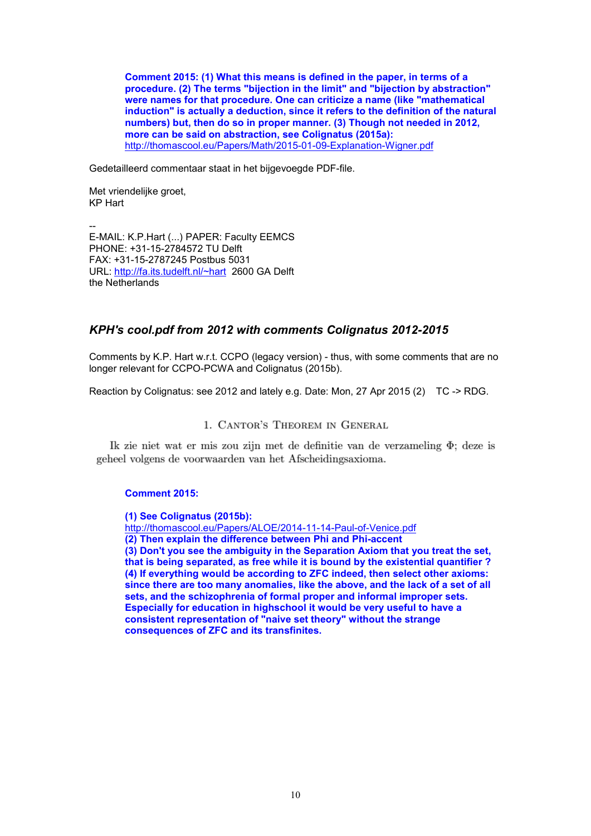**Comment 2015: (1) What this means is defined in the paper, in terms of a procedure. (2) The terms "bijection in the limit" and "bijection by abstraction" were names for that procedure. One can criticize a name (like "mathematical induction" is actually a deduction, since it refers to the definition of the natural numbers) but, then do so in proper manner. (3) Though not needed in 2012, more can be said on abstraction, see Colignatus (2015a):** http://thomascool.eu/Papers/Math/2015-01-09-Explanation-Wigner.pdf

Gedetailleerd commentaar staat in het bijgevoegde PDF-file.

Met vriendelijke groet, KP Hart

-- E-MAIL: K.P.Hart (...) PAPER: Faculty EEMCS PHONE: +31-15-2784572 TU Delft FAX: +31-15-2787245 Postbus 5031 URL: http://fa.its.tudelft.nl/~hart 2600 GA Delft the Netherlands

### *KPH's cool.pdf from 2012 with comments Colignatus 2012-2015*

Comments by K.P. Hart w.r.t. CCPO (legacy version) - thus, with some comments that are no longer relevant for CCPO-PCWA and Colignatus (2015b).

Reaction by Colignatus: see 2012 and lately e.g. Date: Mon, 27 Apr 2015 (2) TC -> RDG.

### 1. CANTOR'S THEOREM IN GENERAL

Ik zie niet wat er mis zou zijn met de definitie van de verzameling  $\Phi$ : deze is geheel volgens de voorwaarden van het Afscheidingsaxioma.

#### **Comment 2015:**

**(1) See Colignatus (2015b):** http://thomascool.eu/Papers/ALOE/2014-11-14-Paul-of-Venice.pdf **(2) Then explain the difference between Phi and Phi-accent (3) Don't you see the ambiguity in the Separation Axiom that you treat the set, that is being separated, as free while it is bound by the existential quantifier ? (4) If everything would be according to ZFC indeed, then select other axioms: since there are too many anomalies, like the above, and the lack of a set of all sets, and the schizophrenia of formal proper and informal improper sets. Especially for education in highschool it would be very useful to have a consistent representation of "naive set theory" without the strange consequences of ZFC and its transfinites.**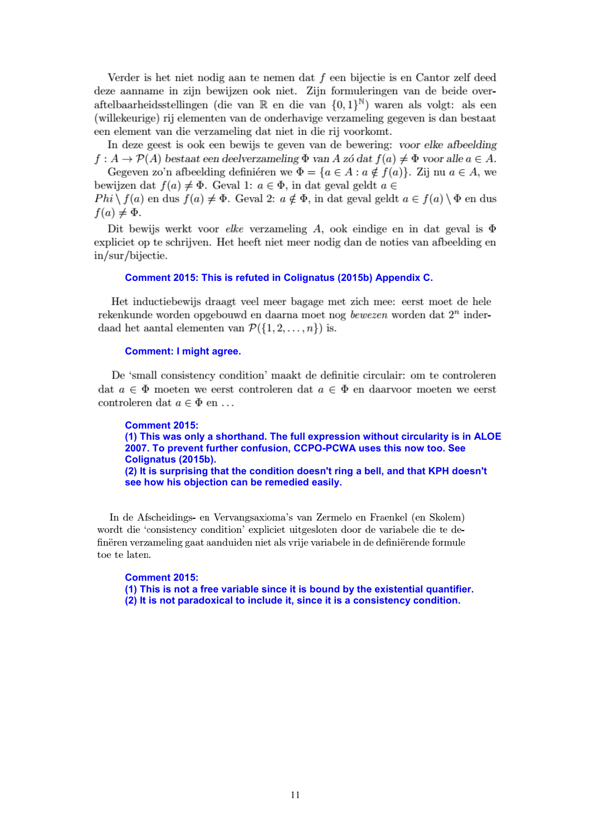Verder is het niet nodig aan te nemen dat  $f$  een bijectie is en Cantor zelf deed deze aanname in zijn bewijzen ook niet. Zijn formuleringen van de beide overaftelbaarheidsstellingen (die van  $\mathbb R$  en die van  $\{0,1\}^{\mathbb N}$ ) waren als volgt: als een (willekeurige) rij elementen van de onderhavige verzameling gegeven is dan bestaat een element van die verzameling dat niet in die rij voorkomt.

In deze geest is ook een bewijs te geven van de bewering: voor elke afbeelding  $f: A \to \mathcal{P}(A)$  bestaat een deelverzameling  $\Phi$  van A zó dat  $f(a) \neq \Phi$  voor alle  $a \in A$ . Gegeven zo'n afbeelding definieren we  $\Phi = \{a \in A : a \notin f(a)\}\$ . Zij nu  $a \in A$ , we

bewijzen dat  $f(a) \neq \Phi$ . Geval 1:  $a \in \Phi$ , in dat geval geldt  $a \in$  $Phi \setminus f(a)$  en dus  $f(a) \neq \Phi$ . Geval 2:  $a \notin \Phi$ , in dat geval geldt  $a \in f(a) \setminus \Phi$  en dus  $f(a) \neq \Phi$ .

Dit bewijs werkt voor elke verzameling A, ook eindige en in dat geval is  $\Phi$ expliciet op te schrijven. Het heeft niet meer nodig dan de noties van afbeelding en in/sur/bijectie.

#### **Comment 2015: This is refuted in Colignatus (2015b) Appendix C.**

Het inductiebewijs draagt veel meer bagage met zich mee: eerst moet de hele rekenkunde worden opgebouwd en daarna moet nog bewezen worden dat  $2^n$  inderdaad het aantal elementen van  $\mathcal{P}(\{1,2,\ldots,n\})$  is.

#### **Comment: I might agree.**

De 'small consistency condition' maakt de definitie circulair: om te controleren dat  $a \in \Phi$  moeten we eerst controleren dat  $a \in \Phi$  en daarvoor moeten we eerst controleren dat  $a \in \Phi$  en ...

**Comment 2015: (1) This was only a shorthand. The full expression without circularity is in ALOE 2007. To prevent further confusion, CCPO-PCWA uses this now too. See Colignatus (2015b). (2) It is surprising that the condition doesn't ring a bell, and that KPH doesn't see how his objection can be remedied easily.**

In de Afscheidings- en Vervangsaxioma's van Zermelo en Fraenkel (en Skolem) wordt die 'consistency condition' expliciet uitgesloten door de variabele die te definëren verzameling gaat aanduiden niet als vrije variabele in de definiërende formule toe te laten.

**Comment 2015: (1) This is not a free variable since it is bound by the existential quantifier. (2) It is not paradoxical to include it, since it is a consistency condition.**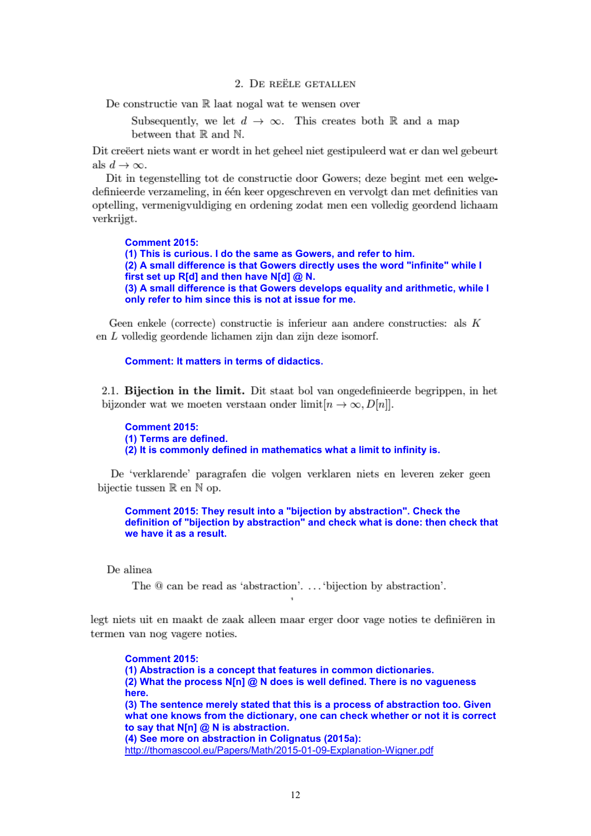#### 2. DE REËLE GETALLEN

De constructie van  $\mathbb R$  laat nogal wat te wensen over

Subsequently, we let  $d \to \infty$ . This creates both R and a map between that  $\mathbb R$  and  $\mathbb N$ .

Dit creëret niets want er wordt in het geheel niet gestipuleerd wat er dan wel gebeurt als  $d \to \infty$ .

Dit in tegenstelling tot de constructie door Gowers; deze begint met een welgedefinieerde verzameling, in één keer opgeschreven en vervolgt dan met definities van optelling, vermenigvuldiging en ordening zodat men een volledig geordend lichaam verkrijgt.

**Comment 2015: (1) This is curious. I do the same as Gowers, and refer to him. (2) A small difference is that Gowers directly uses the word "infinite" while I first set up R[d] and then have N[d] @ N. (3) A small difference is that Gowers develops equality and arithmetic, while I only refer to him since this is not at issue for me.**

Geen enkele (correcte) constructie is inferieur aan andere constructies: als  $K$ en  $L$  volledig geordende lichamen zijn dan zijn deze isomorf.

#### **Comment: It matters in terms of didactics.**

2.1. Bijection in the limit. Dit staat bol van ongedefinieerde begrippen, in het bijzonder wat we moeten verstaan onder limit $[n \to \infty, D[n]]$ .

**Comment 2015: (1) Terms are defined. (2) It is commonly defined in mathematics what a limit to infinity is.**

De 'verklarende' paragrafen die volgen verklaren niets en leveren zeker geen bijectie tussen  $\mathbb R$  en  $\mathbb N$  op.

**Comment 2015: They result into a "bijection by abstraction". Check the definition of "bijection by abstraction" and check what is done: then check that we have it as a result.**

De alinea

The  $@$  can be read as 'abstraction'.... 'bijection by abstraction'.

legt niets uit en maakt de zaak alleen maar erger door vage noties te definiëren in termen van nog vagere noties.

**Comment 2015: (1) Abstraction is a concept that features in common dictionaries. (2) What the process N[n] @ N does is well defined. There is no vagueness here. (3) The sentence merely stated that this is a process of abstraction too. Given what one knows from the dictionary, one can check whether or not it is correct to say that N[n] @ N is abstraction. (4) See more on abstraction in Colignatus (2015a):** http://thomascool.eu/Papers/Math/2015-01-09-Explanation-Wigner.pdf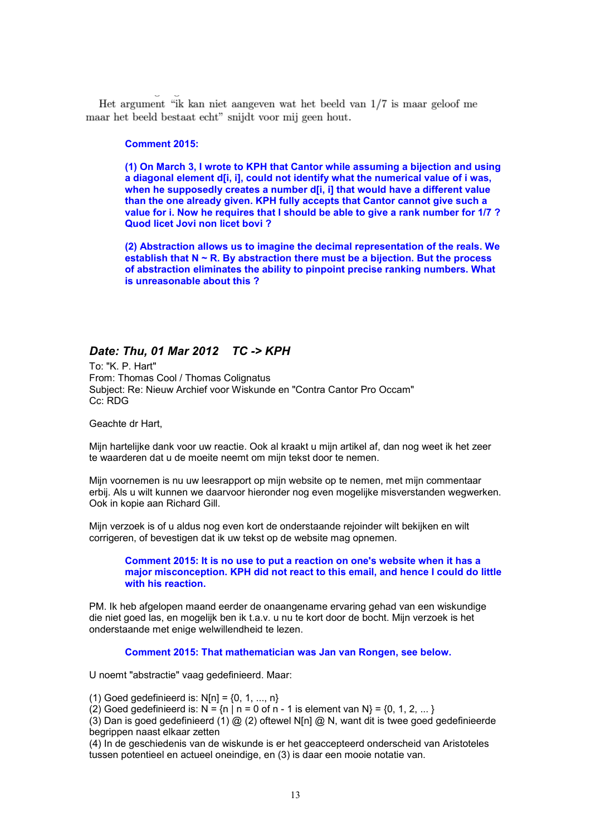Het argument "ik kan niet aangeven wat het beeld van 1/7 is maar geloof me maar het beeld bestaat echt" snijdt voor mij geen hout.

#### **Comment 2015:**

**(1) On March 3, I wrote to KPH that Cantor while assuming a bijection and using a diagonal element d[i, i], could not identify what the numerical value of i was, when he supposedly creates a number d[i, i] that would have a different value than the one already given. KPH fully accepts that Cantor cannot give such a value for i. Now he requires that I should be able to give a rank number for 1/7 ? Quod licet Jovi non licet bovi ?**

**(2) Abstraction allows us to imagine the decimal representation of the reals. We establish that N ~ R. By abstraction there must be a bijection. But the process of abstraction eliminates the ability to pinpoint precise ranking numbers. What is unreasonable about this ?**

## *Date: Thu, 01 Mar 2012 TC -> KPH*

To: "K. P. Hart" From: Thomas Cool / Thomas Colignatus Subject: Re: Nieuw Archief voor Wiskunde en "Contra Cantor Pro Occam" Cc: RDG

Geachte dr Hart,

Mijn hartelijke dank voor uw reactie. Ook al kraakt u mijn artikel af, dan nog weet ik het zeer te waarderen dat u de moeite neemt om mijn tekst door te nemen.

Mijn voornemen is nu uw leesrapport op mijn website op te nemen, met mijn commentaar erbij. Als u wilt kunnen we daarvoor hieronder nog even mogelijke misverstanden wegwerken. Ook in kopie aan Richard Gill.

Mijn verzoek is of u aldus nog even kort de onderstaande rejoinder wilt bekijken en wilt corrigeren, of bevestigen dat ik uw tekst op de website mag opnemen.

**Comment 2015: It is no use to put a reaction on one's website when it has a major misconception. KPH did not react to this email, and hence I could do little with his reaction.**

PM. Ik heb afgelopen maand eerder de onaangename ervaring gehad van een wiskundige die niet goed las, en mogelijk ben ik t.a.v. u nu te kort door de bocht. Mijn verzoek is het onderstaande met enige welwillendheid te lezen.

**Comment 2015: That mathematician was Jan van Rongen, see below.**

U noemt "abstractie" vaag gedefinieerd. Maar:

(1) Goed gedefinieerd is:  $N[n] = \{0, 1, ..., n\}$ 

(2) Goed gedefinieerd is:  $N = \{n \mid n = 0 \text{ of } n - 1 \text{ is element van } N\} = \{0, 1, 2, \dots\}$ 

(3) Dan is goed gedefinieerd (1)  $@$  (2) oftewel N[n]  $@$  N, want dit is twee goed gedefinieerde begrippen naast elkaar zetten

(4) In de geschiedenis van de wiskunde is er het geaccepteerd onderscheid van Aristoteles tussen potentieel en actueel oneindige, en (3) is daar een mooie notatie van.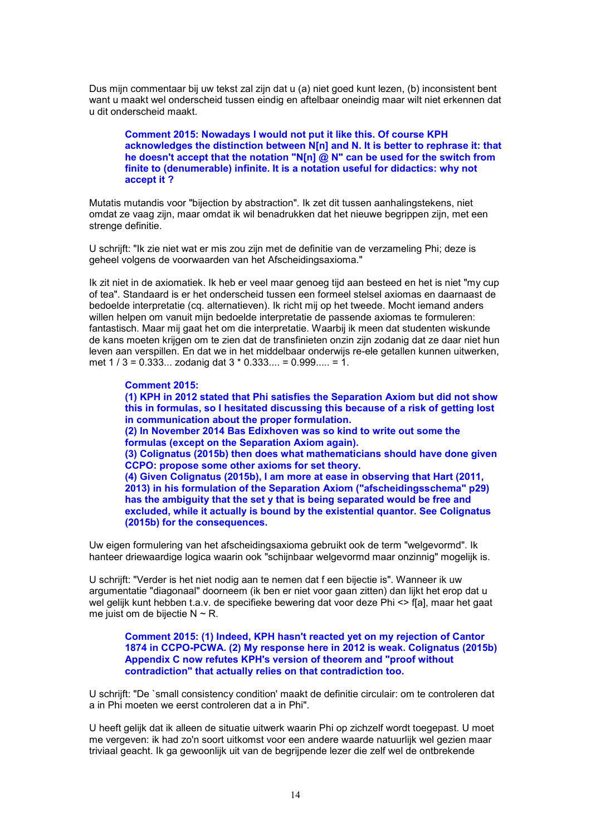Dus mijn commentaar bij uw tekst zal zijn dat u (a) niet goed kunt lezen, (b) inconsistent bent want u maakt wel onderscheid tussen eindig en aftelbaar oneindig maar wilt niet erkennen dat u dit onderscheid maakt.

**Comment 2015: Nowadays I would not put it like this. Of course KPH acknowledges the distinction between N[n] and N. It is better to rephrase it: that he doesn't accept that the notation "N[n] @ N" can be used for the switch from finite to (denumerable) infinite. It is a notation useful for didactics: why not accept it ?**

Mutatis mutandis voor "bijection by abstraction". Ik zet dit tussen aanhalingstekens, niet omdat ze vaag zijn, maar omdat ik wil benadrukken dat het nieuwe begrippen zijn, met een strenge definitie.

U schrijft: "Ik zie niet wat er mis zou zijn met de definitie van de verzameling Phi; deze is geheel volgens de voorwaarden van het Afscheidingsaxioma."

Ik zit niet in de axiomatiek. Ik heb er veel maar genoeg tijd aan besteed en het is niet "my cup of tea". Standaard is er het onderscheid tussen een formeel stelsel axiomas en daarnaast de bedoelde interpretatie (cq. alternatieven). Ik richt mij op het tweede. Mocht iemand anders willen helpen om vanuit mijn bedoelde interpretatie de passende axiomas te formuleren: fantastisch. Maar mij gaat het om die interpretatie. Waarbij ik meen dat studenten wiskunde de kans moeten krijgen om te zien dat de transfinieten onzin zijn zodanig dat ze daar niet hun leven aan verspillen. En dat we in het middelbaar onderwijs re-ele getallen kunnen uitwerken, met 1 / 3 = 0.333... zodanig dat 3 \* 0.333.... = 0.999..... = 1.

**Comment 2015: (1) KPH in 2012 stated that Phi satisfies the Separation Axiom but did not show this in formulas, so I hesitated discussing this because of a risk of getting lost in communication about the proper formulation. (2) In November 2014 Bas Edixhoven was so kind to write out some the formulas (except on the Separation Axiom again). (3) Colignatus (2015b) then does what mathematicians should have done given CCPO: propose some other axioms for set theory. (4) Given Colignatus (2015b), I am more at ease in observing that Hart (2011, 2013) in his formulation of the Separation Axiom ("afscheidingsschema" p29) has the ambiguity that the set y that is being separated would be free and excluded, while it actually is bound by the existential quantor. See Colignatus (2015b) for the consequences.**

Uw eigen formulering van het afscheidingsaxioma gebruikt ook de term "welgevormd". Ik hanteer driewaardige logica waarin ook "schijnbaar welgevormd maar onzinnig" mogelijk is.

U schrijft: "Verder is het niet nodig aan te nemen dat f een bijectie is". Wanneer ik uw argumentatie "diagonaal" doorneem (ik ben er niet voor gaan zitten) dan lijkt het erop dat u wel gelijk kunt hebben t.a.v. de specifieke bewering dat voor deze Phi <> f[a], maar het gaat me juist om de bijectie  $N \sim R$ .

**Comment 2015: (1) Indeed, KPH hasn't reacted yet on my rejection of Cantor 1874 in CCPO-PCWA. (2) My response here in 2012 is weak. Colignatus (2015b) Appendix C now refutes KPH's version of theorem and "proof without contradiction" that actually relies on that contradiction too.**

U schrijft: "De `small consistency condition' maakt de definitie circulair: om te controleren dat a in Phi moeten we eerst controleren dat a in Phi".

U heeft gelijk dat ik alleen de situatie uitwerk waarin Phi op zichzelf wordt toegepast. U moet me vergeven: ik had zo'n soort uitkomst voor een andere waarde natuurlijk wel gezien maar triviaal geacht. Ik ga gewoonlijk uit van de begrijpende lezer die zelf wel de ontbrekende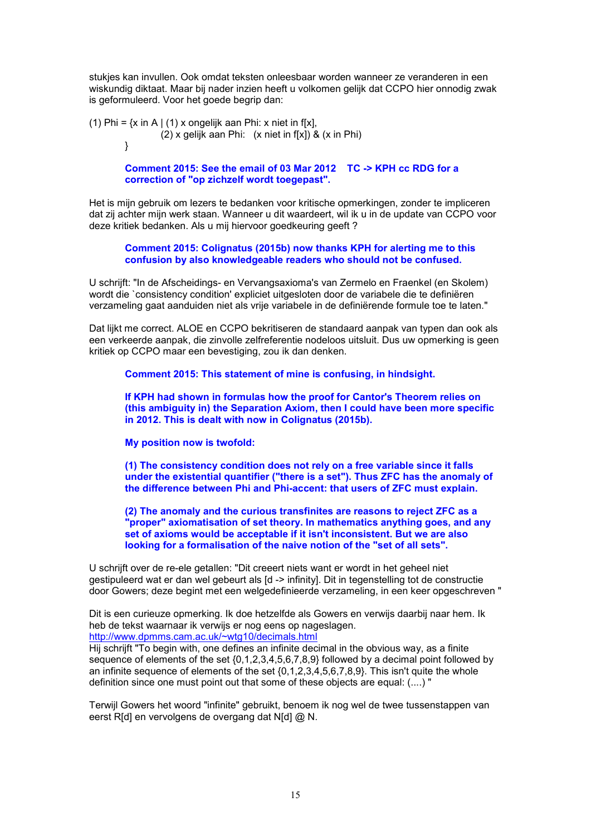stukjes kan invullen. Ook omdat teksten onleesbaar worden wanneer ze veranderen in een wiskundig diktaat. Maar bij nader inzien heeft u volkomen gelijk dat CCPO hier onnodig zwak is geformuleerd. Voor het goede begrip dan:

(1) Phi =  $\{x \in A \mid (1) \times \text{ongelijk} \text{ aan Phi}: x \text{ niet in } f[x],\}$ (2) x gelijk aan Phi: (x niet in f[x]) & (x in Phi)  $\}$ }

> **Comment 2015: See the email of 03 Mar 2012 TC -> KPH cc RDG for a correction of "op zichzelf wordt toegepast".**

Het is mijn gebruik om lezers te bedanken voor kritische opmerkingen, zonder te impliceren dat zij achter mijn werk staan. Wanneer u dit waardeert, wil ik u in de update van CCPO voor deze kritiek bedanken. Als u mij hiervoor goedkeuring geeft ?

**Comment 2015: Colignatus (2015b) now thanks KPH for alerting me to this confusion by also knowledgeable readers who should not be confused.**

U schrijft: "In de Afscheidings- en Vervangsaxioma's van Zermelo en Fraenkel (en Skolem) wordt die `consistency condition' expliciet uitgesloten door de variabele die te definiëren verzameling gaat aanduiden niet als vrije variabele in de definiërende formule toe te laten."

Dat lijkt me correct. ALOE en CCPO bekritiseren de standaard aanpak van typen dan ook als een verkeerde aanpak, die zinvolle zelfreferentie nodeloos uitsluit. Dus uw opmerking is geen kritiek op CCPO maar een bevestiging, zou ik dan denken.

**Comment 2015: This statement of mine is confusing, in hindsight.**

**If KPH had shown in formulas how the proof for Cantor's Theorem relies on (this ambiguity in) the Separation Axiom, then I could have been more specific in 2012. This is dealt with now in Colignatus (2015b).**

**My position now is twofold:**

**(1) The consistency condition does not rely on a free variable since it falls under the existential quantifier ("there is a set"). Thus ZFC has the anomaly of the difference between Phi and Phi-accent: that users of ZFC must explain.**

**(2) The anomaly and the curious transfinites are reasons to reject ZFC as a "proper" axiomatisation of set theory. In mathematics anything goes, and any set of axioms would be acceptable if it isn't inconsistent. But we are also looking for a formalisation of the naive notion of the "set of all sets".**

U schrijft over de re-ele getallen: "Dit creeert niets want er wordt in het geheel niet gestipuleerd wat er dan wel gebeurt als [d -> infinity]. Dit in tegenstelling tot de constructie door Gowers; deze begint met een welgedefinieerde verzameling, in een keer opgeschreven "

Dit is een curieuze opmerking. Ik doe hetzelfde als Gowers en verwijs daarbij naar hem. Ik heb de tekst waarnaar ik verwijs er nog eens op nageslagen.

http://www.dpmms.cam.ac.uk/~wtg10/decimals.html

Hij schrijft "To begin with, one defines an infinite decimal in the obvious way, as a finite sequence of elements of the set {0,1,2,3,4,5,6,7,8,9} followed by a decimal point followed by an infinite sequence of elements of the set {0,1,2,3,4,5,6,7,8,9}. This isn't quite the whole definition since one must point out that some of these objects are equal: (....) "

Terwijl Gowers het woord "infinite" gebruikt, benoem ik nog wel de twee tussenstappen van eerst R[d] en vervolgens de overgang dat N[d] @ N.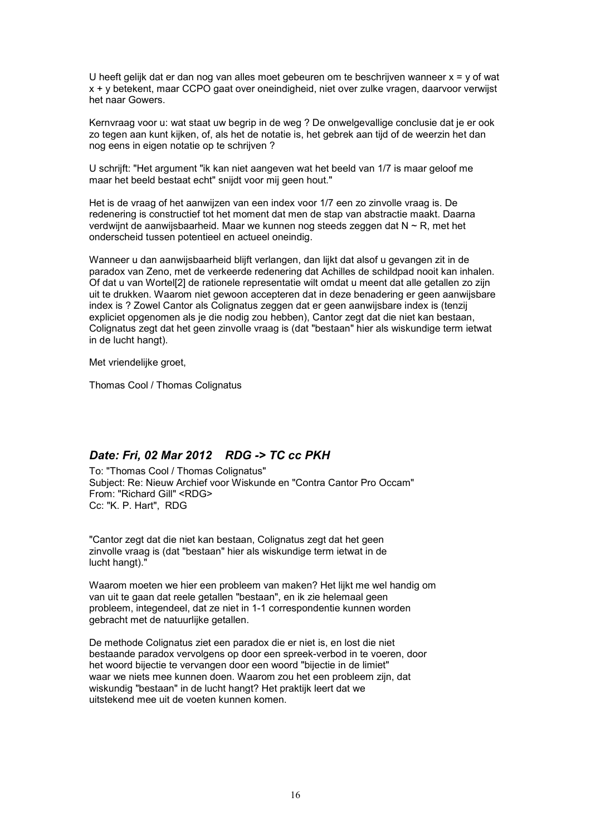U heeft gelijk dat er dan nog van alles moet gebeuren om te beschrijven wanneer x = y of wat x + y betekent, maar CCPO gaat over oneindigheid, niet over zulke vragen, daarvoor verwijst het naar Gowers.

Kernvraag voor u: wat staat uw begrip in de weg ? De onwelgevallige conclusie dat je er ook zo tegen aan kunt kijken, of, als het de notatie is, het gebrek aan tijd of de weerzin het dan nog eens in eigen notatie op te schrijven ?

U schrijft: "Het argument "ik kan niet aangeven wat het beeld van 1/7 is maar geloof me maar het beeld bestaat echt" snijdt voor mij geen hout."

Het is de vraag of het aanwijzen van een index voor 1/7 een zo zinvolle vraag is. De redenering is constructief tot het moment dat men de stap van abstractie maakt. Daarna verdwijnt de aanwijsbaarheid. Maar we kunnen nog steeds zeggen dat  $N \sim R$ , met het onderscheid tussen potentieel en actueel oneindig.

Wanneer u dan aanwijsbaarheid blijft verlangen, dan lijkt dat alsof u gevangen zit in de paradox van Zeno, met de verkeerde redenering dat Achilles de schildpad nooit kan inhalen. Of dat u van Wortel[2] de rationele representatie wilt omdat u meent dat alle getallen zo zijn uit te drukken. Waarom niet gewoon accepteren dat in deze benadering er geen aanwijsbare index is ? Zowel Cantor als Colignatus zeggen dat er geen aanwijsbare index is (tenzij expliciet opgenomen als je die nodig zou hebben), Cantor zegt dat die niet kan bestaan, Colignatus zegt dat het geen zinvolle vraag is (dat "bestaan" hier als wiskundige term ietwat in de lucht hangt).

Met vriendelijke groet,

Thomas Cool / Thomas Colignatus

### *Date: Fri, 02 Mar 2012 RDG -> TC cc PKH*

To: "Thomas Cool / Thomas Colignatus" Subject: Re: Nieuw Archief voor Wiskunde en "Contra Cantor Pro Occam" From: "Richard Gill" <RDG> Cc: "K. P. Hart", RDG

"Cantor zegt dat die niet kan bestaan, Colignatus zegt dat het geen zinvolle vraag is (dat "bestaan" hier als wiskundige term ietwat in de lucht hangt)."

Waarom moeten we hier een probleem van maken? Het lijkt me wel handig om van uit te gaan dat reele getallen "bestaan", en ik zie helemaal geen probleem, integendeel, dat ze niet in 1-1 correspondentie kunnen worden gebracht met de natuurlijke getallen.

De methode Colignatus ziet een paradox die er niet is, en lost die niet bestaande paradox vervolgens op door een spreek-verbod in te voeren, door het woord bijectie te vervangen door een woord "bijectie in de limiet" waar we niets mee kunnen doen. Waarom zou het een probleem zijn, dat wiskundig "bestaan" in de lucht hangt? Het praktijk leert dat we uitstekend mee uit de voeten kunnen komen.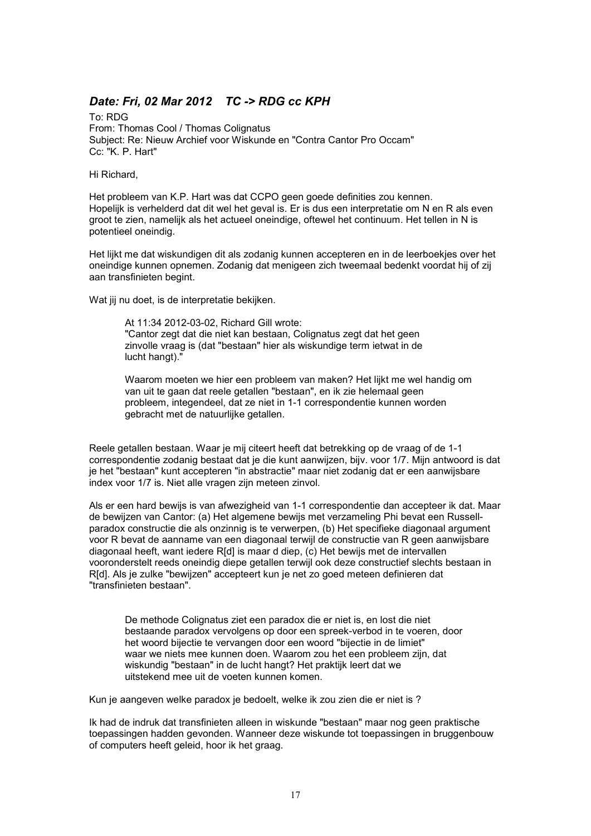# *Date: Fri, 02 Mar 2012 TC -> RDG cc KPH*

To: RDG From: Thomas Cool / Thomas Colignatus Subject: Re: Nieuw Archief voor Wiskunde en "Contra Cantor Pro Occam" Cc: "K. P. Hart"

Hi Richard,

Het probleem van K.P. Hart was dat CCPO geen goede definities zou kennen. Hopelijk is verhelderd dat dit wel het geval is. Er is dus een interpretatie om N en R als even groot te zien, namelijk als het actueel oneindige, oftewel het continuum. Het tellen in N is potentieel oneindig.

Het lijkt me dat wiskundigen dit als zodanig kunnen accepteren en in de leerboekjes over het oneindige kunnen opnemen. Zodanig dat menigeen zich tweemaal bedenkt voordat hij of zij aan transfinieten begint.

Wat jij nu doet, is de interpretatie bekijken.

At 11:34 2012-03-02, Richard Gill wrote: "Cantor zegt dat die niet kan bestaan, Colignatus zegt dat het geen zinvolle vraag is (dat "bestaan" hier als wiskundige term ietwat in de lucht hangt)."

Waarom moeten we hier een probleem van maken? Het lijkt me wel handig om van uit te gaan dat reele getallen "bestaan", en ik zie helemaal geen probleem, integendeel, dat ze niet in 1-1 correspondentie kunnen worden gebracht met de natuurlijke getallen.

Reele getallen bestaan. Waar je mij citeert heeft dat betrekking op de vraag of de 1-1 correspondentie zodanig bestaat dat je die kunt aanwijzen, bijv. voor 1/7. Mijn antwoord is dat je het "bestaan" kunt accepteren "in abstractie" maar niet zodanig dat er een aanwijsbare index voor 1/7 is. Niet alle vragen zijn meteen zinvol.

Als er een hard bewijs is van afwezigheid van 1-1 correspondentie dan accepteer ik dat. Maar de bewijzen van Cantor: (a) Het algemene bewijs met verzameling Phi bevat een Russellparadox constructie die als onzinnig is te verwerpen, (b) Het specifieke diagonaal argument voor R bevat de aanname van een diagonaal terwijl de constructie van R geen aanwijsbare diagonaal heeft, want iedere R[d] is maar d diep, (c) Het bewijs met de intervallen vooronderstelt reeds oneindig diepe getallen terwijl ook deze constructief slechts bestaan in R[d]. Als je zulke "bewijzen" accepteert kun je net zo goed meteen definieren dat "transfinieten bestaan".

De methode Colignatus ziet een paradox die er niet is, en lost die niet bestaande paradox vervolgens op door een spreek-verbod in te voeren, door het woord bijectie te vervangen door een woord "bijectie in de limiet" waar we niets mee kunnen doen. Waarom zou het een probleem zijn, dat wiskundig "bestaan" in de lucht hangt? Het praktijk leert dat we uitstekend mee uit de voeten kunnen komen.

Kun je aangeven welke paradox je bedoelt, welke ik zou zien die er niet is ?

Ik had de indruk dat transfinieten alleen in wiskunde "bestaan" maar nog geen praktische toepassingen hadden gevonden. Wanneer deze wiskunde tot toepassingen in bruggenbouw of computers heeft geleid, hoor ik het graag.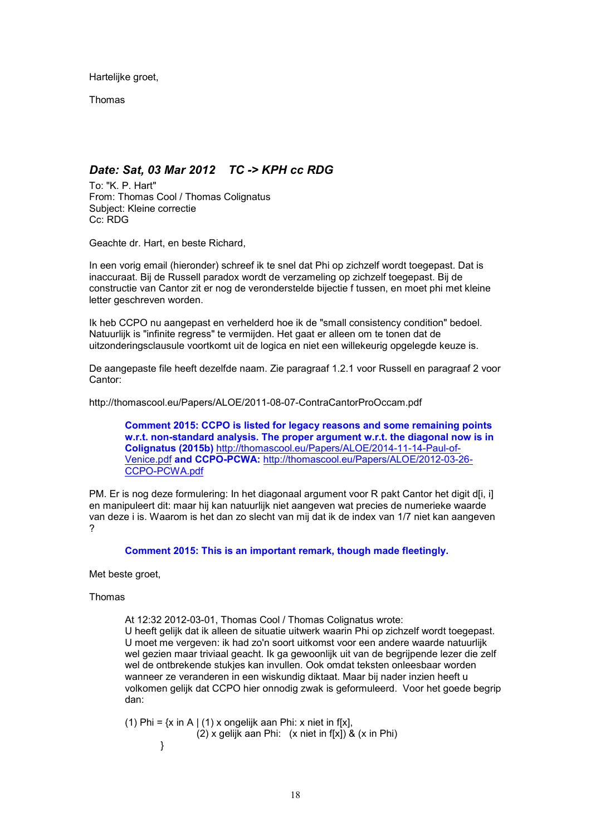Hartelijke groet,

Thomas

# *Date: Sat, 03 Mar 2012 TC -> KPH cc RDG*

To: "K. P. Hart" From: Thomas Cool / Thomas Colignatus Subject: Kleine correctie Cc: RDG

Geachte dr. Hart, en beste Richard,

In een vorig email (hieronder) schreef ik te snel dat Phi op zichzelf wordt toegepast. Dat is inaccuraat. Bij de Russell paradox wordt de verzameling op zichzelf toegepast. Bij de constructie van Cantor zit er nog de veronderstelde bijectie f tussen, en moet phi met kleine letter geschreven worden.

Ik heb CCPO nu aangepast en verhelderd hoe ik de "small consistency condition" bedoel. Natuurlijk is "infinite regress" te vermijden. Het gaat er alleen om te tonen dat de uitzonderingsclausule voortkomt uit de logica en niet een willekeurig opgelegde keuze is.

De aangepaste file heeft dezelfde naam. Zie paragraaf 1.2.1 voor Russell en paragraaf 2 voor Cantor:

http://thomascool.eu/Papers/ALOE/2011-08-07-ContraCantorProOccam.pdf

**Comment 2015: CCPO is listed for legacy reasons and some remaining points w.r.t. non-standard analysis. The proper argument w.r.t. the diagonal now is in Colignatus (2015b)** http://thomascool.eu/Papers/ALOE/2014-11-14-Paul-of-Venice.pdf **and CCPO-PCWA:** http://thomascool.eu/Papers/ALOE/2012-03-26- CCPO-PCWA.pdf

PM. Er is nog deze formulering: In het diagonaal argument voor R pakt Cantor het digit d[i, i] en manipuleert dit: maar hij kan natuurlijk niet aangeven wat precies de numerieke waarde van deze i is. Waarom is het dan zo slecht van mij dat ik de index van 1/7 niet kan aangeven ?

**Comment 2015: This is an important remark, though made fleetingly.**

Met beste groet,

Thomas

At 12:32 2012-03-01, Thomas Cool / Thomas Colignatus wrote:

U heeft gelijk dat ik alleen de situatie uitwerk waarin Phi op zichzelf wordt toegepast. U moet me vergeven: ik had zo'n soort uitkomst voor een andere waarde natuurlijk wel gezien maar triviaal geacht. Ik ga gewoonlijk uit van de begrijpende lezer die zelf wel de ontbrekende stukjes kan invullen. Ook omdat teksten onleesbaar worden wanneer ze veranderen in een wiskundig diktaat. Maar bij nader inzien heeft u volkomen gelijk dat CCPO hier onnodig zwak is geformuleerd. Voor het goede begrip dan:

(1) Phi =  $\{x \in A \mid (1) \times \text{ongelijk} \text{ aan Phi}: x \text{ niet in } f[x],\}$  $(2)$  x gelijk aan Phi: (x niet in f[x]) & (x in Phi) }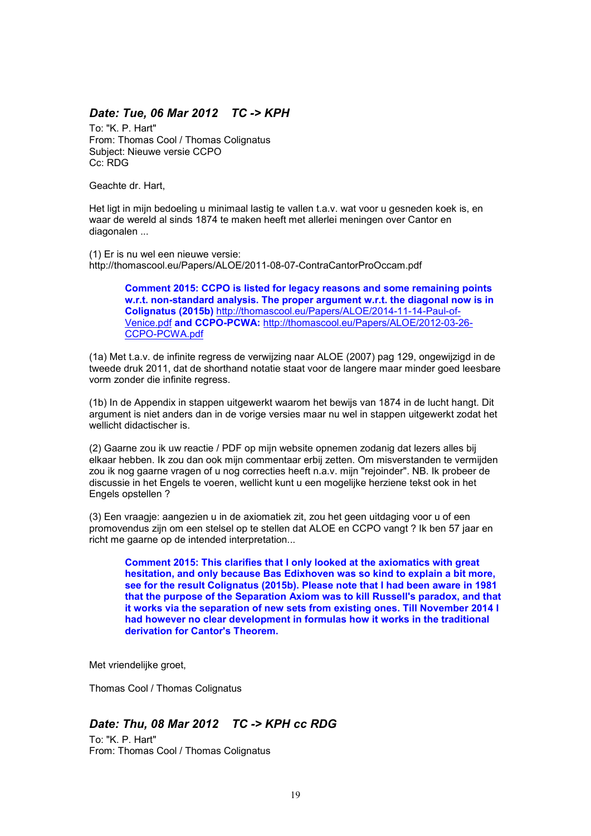## *Date: Tue, 06 Mar 2012 TC -> KPH*

To: "K. P. Hart" From: Thomas Cool / Thomas Colignatus Subject: Nieuwe versie CCPO Cc: RDG

Geachte dr. Hart,

Het ligt in mijn bedoeling u minimaal lastig te vallen t.a.v. wat voor u gesneden koek is, en waar de wereld al sinds 1874 te maken heeft met allerlei meningen over Cantor en diagonalen ...

(1) Er is nu wel een nieuwe versie: http://thomascool.eu/Papers/ALOE/2011-08-07-ContraCantorProOccam.pdf

> **Comment 2015: CCPO is listed for legacy reasons and some remaining points w.r.t. non-standard analysis. The proper argument w.r.t. the diagonal now is in Colignatus (2015b)** http://thomascool.eu/Papers/ALOE/2014-11-14-Paul-of-Venice.pdf **and CCPO-PCWA:** http://thomascool.eu/Papers/ALOE/2012-03-26- CCPO-PCWA.pdf

(1a) Met t.a.v. de infinite regress de verwijzing naar ALOE (2007) pag 129, ongewijzigd in de tweede druk 2011, dat de shorthand notatie staat voor de langere maar minder goed leesbare vorm zonder die infinite regress.

(1b) In de Appendix in stappen uitgewerkt waarom het bewijs van 1874 in de lucht hangt. Dit argument is niet anders dan in de vorige versies maar nu wel in stappen uitgewerkt zodat het wellicht didactischer is.

(2) Gaarne zou ik uw reactie / PDF op mijn website opnemen zodanig dat lezers alles bij elkaar hebben. Ik zou dan ook mijn commentaar erbij zetten. Om misverstanden te vermijden zou ik nog gaarne vragen of u nog correcties heeft n.a.v. mijn "rejoinder". NB. Ik probeer de discussie in het Engels te voeren, wellicht kunt u een mogelijke herziene tekst ook in het Engels opstellen ?

(3) Een vraagje: aangezien u in de axiomatiek zit, zou het geen uitdaging voor u of een promovendus zijn om een stelsel op te stellen dat ALOE en CCPO vangt ? Ik ben 57 jaar en richt me gaarne op de intended interpretation...

**Comment 2015: This clarifies that I only looked at the axiomatics with great hesitation, and only because Bas Edixhoven was so kind to explain a bit more, see for the result Colignatus (2015b). Please note that I had been aware in 1981 that the purpose of the Separation Axiom was to kill Russell's paradox, and that it works via the separation of new sets from existing ones. Till November 2014 I had however no clear development in formulas how it works in the traditional derivation for Cantor's Theorem.**

Met vriendelijke groet,

Thomas Cool / Thomas Colignatus

# *Date: Thu, 08 Mar 2012 TC -> KPH cc RDG*

To: "K. P. Hart" From: Thomas Cool / Thomas Colignatus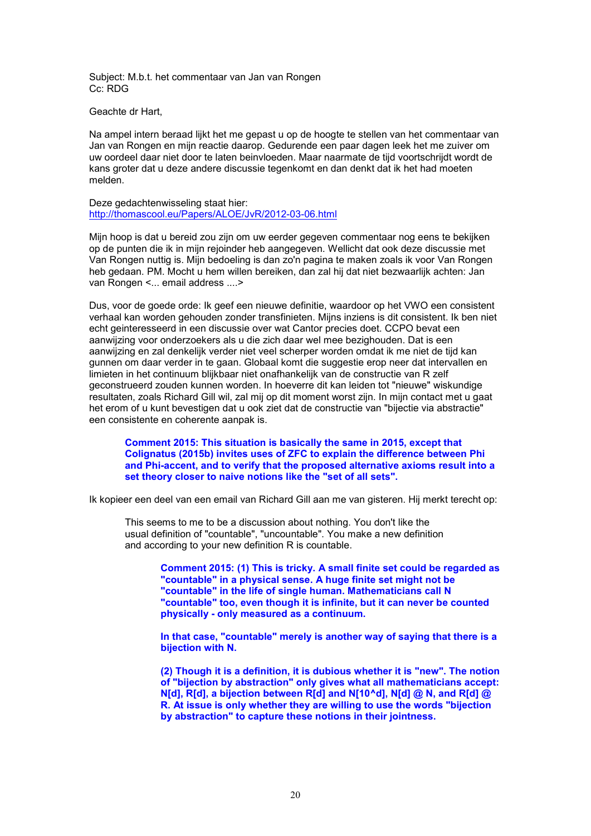Subject: M.b.t. het commentaar van Jan van Rongen Cc: RDG

Geachte dr Hart,

Na ampel intern beraad lijkt het me gepast u op de hoogte te stellen van het commentaar van Jan van Rongen en mijn reactie daarop. Gedurende een paar dagen leek het me zuiver om uw oordeel daar niet door te laten beinvloeden. Maar naarmate de tijd voortschrijdt wordt de kans groter dat u deze andere discussie tegenkomt en dan denkt dat ik het had moeten melden.

Deze gedachtenwisseling staat hier: http://thomascool.eu/Papers/ALOE/JvR/2012-03-06.html

Mijn hoop is dat u bereid zou zijn om uw eerder gegeven commentaar nog eens te bekijken op de punten die ik in mijn rejoinder heb aangegeven. Wellicht dat ook deze discussie met Van Rongen nuttig is. Mijn bedoeling is dan zo'n pagina te maken zoals ik voor Van Rongen heb gedaan. PM. Mocht u hem willen bereiken, dan zal hij dat niet bezwaarlijk achten: Jan van Rongen <... email address ....>

Dus, voor de goede orde: Ik geef een nieuwe definitie, waardoor op het VWO een consistent verhaal kan worden gehouden zonder transfinieten. Mijns inziens is dit consistent. Ik ben niet echt geinteresseerd in een discussie over wat Cantor precies doet. CCPO bevat een aanwijzing voor onderzoekers als u die zich daar wel mee bezighouden. Dat is een aanwijzing en zal denkelijk verder niet veel scherper worden omdat ik me niet de tijd kan gunnen om daar verder in te gaan. Globaal komt die suggestie erop neer dat intervallen en limieten in het continuum blijkbaar niet onafhankelijk van de constructie van R zelf geconstrueerd zouden kunnen worden. In hoeverre dit kan leiden tot "nieuwe" wiskundige resultaten, zoals Richard Gill wil, zal mij op dit moment worst zijn. In mijn contact met u gaat het erom of u kunt bevestigen dat u ook ziet dat de constructie van "bijectie via abstractie" een consistente en coherente aanpak is.

**Comment 2015: This situation is basically the same in 2015, except that Colignatus (2015b) invites uses of ZFC to explain the difference between Phi and Phi-accent, and to verify that the proposed alternative axioms result into a set theory closer to naive notions like the "set of all sets".**

Ik kopieer een deel van een email van Richard Gill aan me van gisteren. Hij merkt terecht op:

This seems to me to be a discussion about nothing. You don't like the usual definition of "countable", "uncountable". You make a new definition and according to your new definition R is countable.

> **Comment 2015: (1) This is tricky. A small finite set could be regarded as "countable" in a physical sense. A huge finite set might not be "countable" in the life of single human. Mathematicians call N "countable" too, even though it is infinite, but it can never be counted physically - only measured as a continuum.**

> **In that case, "countable" merely is another way of saying that there is a bijection with N.**

> **(2) Though it is a definition, it is dubious whether it is "new". The notion of "bijection by abstraction" only gives what all mathematicians accept: N[d], R[d], a bijection between R[d] and N[10^d], N[d] @ N, and R[d] @ R. At issue is only whether they are willing to use the words "bijection by abstraction" to capture these notions in their jointness.**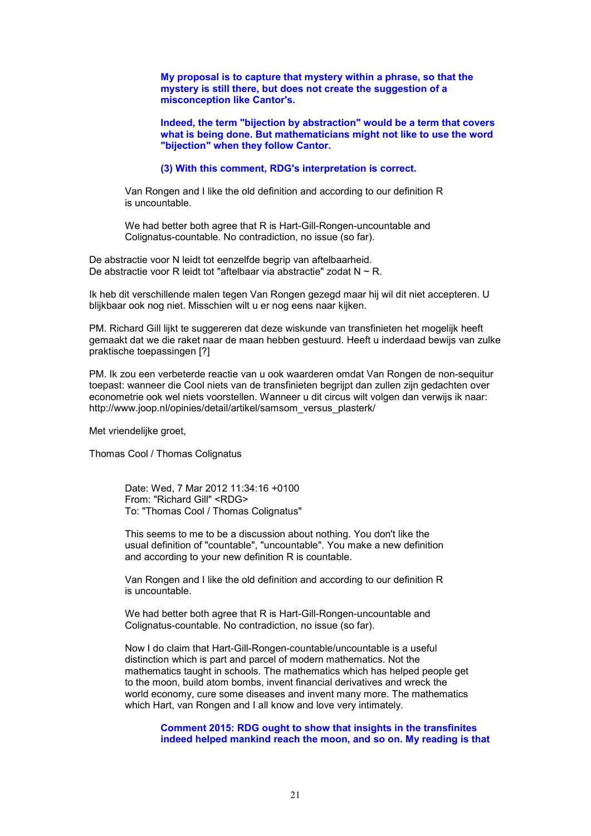**My proposal is to capture that mystery within a phrase, so that the mystery is still there, but does not create the suggestion of a misconception like Cantor's.**

**Indeed, the term "bijection by abstraction" would be a term that covers what is being done. But mathematicians might not like to use the word "bijection" when they follow Cantor.**

**(3) With this comment, RDG's interpretation is correct.**

Van Rongen and I like the old definition and according to our definition R is uncountable.

We had better both agree that R is Hart-Gill-Rongen-uncountable and Colignatus-countable. No contradiction, no issue (so far).

De abstractie voor N leidt tot eenzelfde begrip van aftelbaarheid. De abstractie voor R leidt tot "aftelbaar via abstractie" zodat  $N \sim R$ .

Ik heb dit verschillende malen tegen Van Rongen gezegd maar hij wil dit niet accepteren. U blijkbaar ook nog niet. Misschien wilt u er nog eens naar kijken.

PM. Richard Gill lijkt te suggereren dat deze wiskunde van transfinieten het mogelijk heeft gemaakt dat we die raket naar de maan hebben gestuurd. Heeft u inderdaad bewijs van zulke praktische toepassingen [?]

PM. Ik zou een verbeterde reactie van u ook waarderen omdat Van Rongen de non-sequitur toepast: wanneer die Cool niets van de transfinieten begrijpt dan zullen zijn gedachten over econometrie ook wel niets voorstellen. Wanneer u dit circus wilt volgen dan verwijs ik naar: http://www.joop.nl/opinies/detail/artikel/samsom\_versus\_plasterk/

Met vriendelijke groet,

Thomas Cool / Thomas Colignatus

Date: Wed, 7 Mar 2012 11:34:16 +0100 From: "Richard Gill" <RDG> To: "Thomas Cool / Thomas Colignatus"

This seems to me to be a discussion about nothing. You don't like the usual definition of "countable", "uncountable". You make a new definition and according to your new definition R is countable.

Van Rongen and I like the old definition and according to our definition R is uncountable.

We had better both agree that R is Hart-Gill-Rongen-uncountable and Colignatus-countable. No contradiction, no issue (so far).

Now I do claim that Hart-Gill-Rongen-countable/uncountable is a useful distinction which is part and parcel of modern mathematics. Not the mathematics taught in schools. The mathematics which has helped people get to the moon, build atom bombs, invent financial derivatives and wreck the world economy, cure some diseases and invent many more. The mathematics which Hart, van Rongen and I all know and love very intimately.

**Comment 2015: RDG ought to show that insights in the transfinites indeed helped mankind reach the moon, and so on. My reading is that**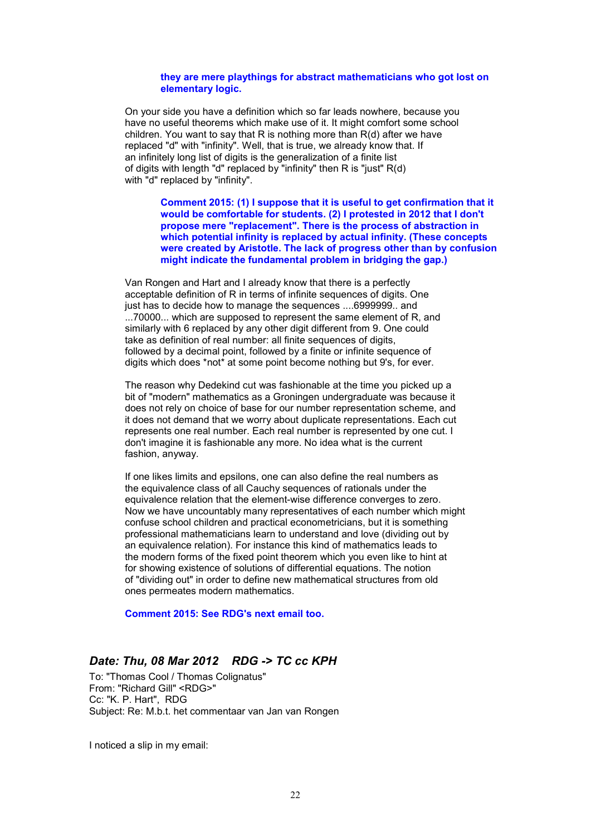#### **they are mere playthings for abstract mathematicians who got lost on elementary logic.**

On your side you have a definition which so far leads nowhere, because you have no useful theorems which make use of it. It might comfort some school children. You want to say that R is nothing more than R(d) after we have replaced "d" with "infinity". Well, that is true, we already know that. If an infinitely long list of digits is the generalization of a finite list of digits with length "d" replaced by "infinity" then R is "just" R(d) with "d" replaced by "infinity".

> **Comment 2015: (1) I suppose that it is useful to get confirmation that it would be comfortable for students. (2) I protested in 2012 that I don't propose mere "replacement". There is the process of abstraction in which potential infinity is replaced by actual infinity. (These concepts were created by Aristotle. The lack of progress other than by confusion might indicate the fundamental problem in bridging the gap.)**

Van Rongen and Hart and I already know that there is a perfectly acceptable definition of R in terms of infinite sequences of digits. One just has to decide how to manage the sequences ....6999999.. and ...70000... which are supposed to represent the same element of R, and similarly with 6 replaced by any other digit different from 9. One could take as definition of real number: all finite sequences of digits, followed by a decimal point, followed by a finite or infinite sequence of digits which does \*not\* at some point become nothing but 9's, for ever.

The reason why Dedekind cut was fashionable at the time you picked up a bit of "modern" mathematics as a Groningen undergraduate was because it does not rely on choice of base for our number representation scheme, and it does not demand that we worry about duplicate representations. Each cut represents one real number. Each real number is represented by one cut. I don't imagine it is fashionable any more. No idea what is the current fashion, anyway.

If one likes limits and epsilons, one can also define the real numbers as the equivalence class of all Cauchy sequences of rationals under the equivalence relation that the element-wise difference converges to zero. Now we have uncountably many representatives of each number which might confuse school children and practical econometricians, but it is something professional mathematicians learn to understand and love (dividing out by an equivalence relation). For instance this kind of mathematics leads to the modern forms of the fixed point theorem which you even like to hint at for showing existence of solutions of differential equations. The notion of "dividing out" in order to define new mathematical structures from old ones permeates modern mathematics.

**Comment 2015: See RDG's next email too.**

### *Date: Thu, 08 Mar 2012 RDG -> TC cc KPH*

To: "Thomas Cool / Thomas Colignatus" From: "Richard Gill" <RDG>" Cc: "K. P. Hart", RDG Subject: Re: M.b.t. het commentaar van Jan van Rongen

I noticed a slip in my email: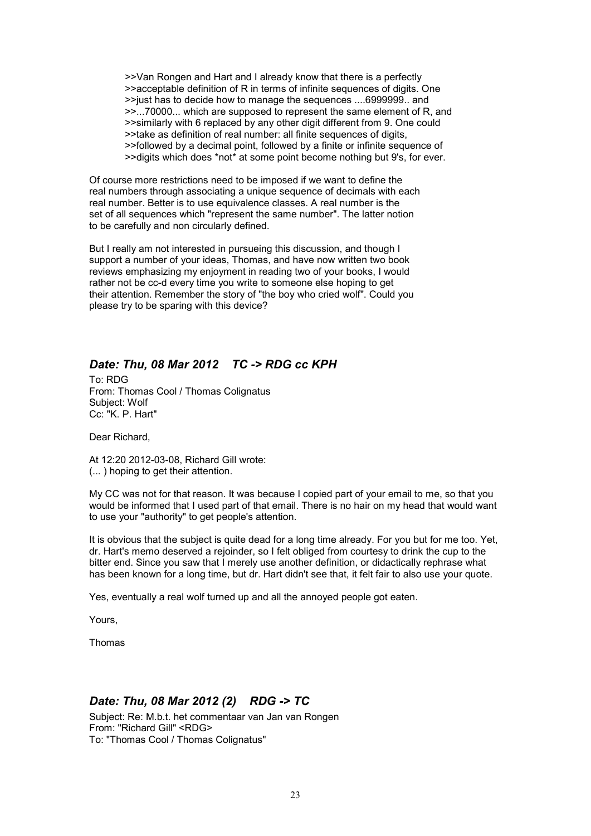>>Van Rongen and Hart and I already know that there is a perfectly >>acceptable definition of R in terms of infinite sequences of digits. One >>just has to decide how to manage the sequences ....6999999.. and >>...70000... which are supposed to represent the same element of R, and >>similarly with 6 replaced by any other digit different from 9. One could >>take as definition of real number: all finite sequences of digits, >>followed by a decimal point, followed by a finite or infinite sequence of >>digits which does \*not\* at some point become nothing but 9's, for ever.

Of course more restrictions need to be imposed if we want to define the real numbers through associating a unique sequence of decimals with each real number. Better is to use equivalence classes. A real number is the set of all sequences which "represent the same number". The latter notion to be carefully and non circularly defined.

But I really am not interested in pursueing this discussion, and though I support a number of your ideas, Thomas, and have now written two book reviews emphasizing my enjoyment in reading two of your books, I would rather not be cc-d every time you write to someone else hoping to get their attention. Remember the story of "the boy who cried wolf". Could you please try to be sparing with this device?

# *Date: Thu, 08 Mar 2012 TC -> RDG cc KPH*

To: RDG From: Thomas Cool / Thomas Colignatus Subject: Wolf Cc: "K. P. Hart"

Dear Richard,

At 12:20 2012-03-08, Richard Gill wrote: (... ) hoping to get their attention.

My CC was not for that reason. It was because I copied part of your email to me, so that you would be informed that I used part of that email. There is no hair on my head that would want to use your "authority" to get people's attention.

It is obvious that the subject is quite dead for a long time already. For you but for me too. Yet, dr. Hart's memo deserved a rejoinder, so I felt obliged from courtesy to drink the cup to the bitter end. Since you saw that I merely use another definition, or didactically rephrase what has been known for a long time, but dr. Hart didn't see that, it felt fair to also use your quote.

Yes, eventually a real wolf turned up and all the annoyed people got eaten.

Yours,

Thomas

# *Date: Thu, 08 Mar 2012 (2) RDG -> TC*

Subject: Re: M.b.t. het commentaar van Jan van Rongen From: "Richard Gill" <RDG> To: "Thomas Cool / Thomas Colignatus"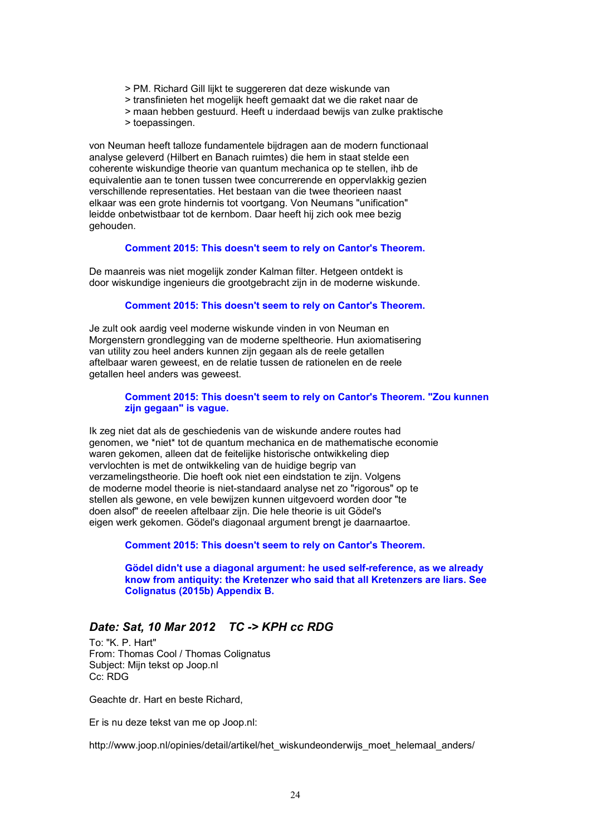- > PM. Richard Gill lijkt te suggereren dat deze wiskunde van
- > transfinieten het mogelijk heeft gemaakt dat we die raket naar de
- > maan hebben gestuurd. Heeft u inderdaad bewijs van zulke praktische
- > toepassingen.

von Neuman heeft talloze fundamentele bijdragen aan de modern functionaal analyse geleverd (Hilbert en Banach ruimtes) die hem in staat stelde een coherente wiskundige theorie van quantum mechanica op te stellen, ihb de equivalentie aan te tonen tussen twee concurrerende en oppervlakkig gezien verschillende representaties. Het bestaan van die twee theorieen naast elkaar was een grote hindernis tot voortgang. Von Neumans "unification" leidde onbetwistbaar tot de kernbom. Daar heeft hij zich ook mee bezig gehouden.

#### **Comment 2015: This doesn't seem to rely on Cantor's Theorem.**

De maanreis was niet mogelijk zonder Kalman filter. Hetgeen ontdekt is door wiskundige ingenieurs die grootgebracht zijn in de moderne wiskunde.

#### **Comment 2015: This doesn't seem to rely on Cantor's Theorem.**

Je zult ook aardig veel moderne wiskunde vinden in von Neuman en Morgenstern grondlegging van de moderne speltheorie. Hun axiomatisering van utility zou heel anders kunnen zijn gegaan als de reele getallen aftelbaar waren geweest, en de relatie tussen de rationelen en de reele getallen heel anders was geweest.

#### **Comment 2015: This doesn't seem to rely on Cantor's Theorem. "Zou kunnen zijn gegaan" is vague.**

Ik zeg niet dat als de geschiedenis van de wiskunde andere routes had genomen, we \*niet\* tot de quantum mechanica en de mathematische economie waren gekomen, alleen dat de feitelijke historische ontwikkeling diep vervlochten is met de ontwikkeling van de huidige begrip van verzamelingstheorie. Die hoeft ook niet een eindstation te zijn. Volgens de moderne model theorie is niet-standaard analyse net zo "rigorous" op te stellen als gewone, en vele bewijzen kunnen uitgevoerd worden door "te doen alsof" de reeelen aftelbaar zijn. Die hele theorie is uit Gödel's eigen werk gekomen. Gödel's diagonaal argument brengt je daarnaartoe.

**Comment 2015: This doesn't seem to rely on Cantor's Theorem.**

**Gödel didn't use a diagonal argument: he used self-reference, as we already know from antiquity: the Kretenzer who said that all Kretenzers are liars. See Colignatus (2015b) Appendix B.**

## *Date: Sat, 10 Mar 2012 TC -> KPH cc RDG*

To: "K. P. Hart" From: Thomas Cool / Thomas Colignatus Subject: Mijn tekst op Joop.nl Cc: RDG

Geachte dr. Hart en beste Richard,

Er is nu deze tekst van me op Joop.nl:

http://www.joop.nl/opinies/detail/artikel/het\_wiskundeonderwijs\_moet\_helemaal\_anders/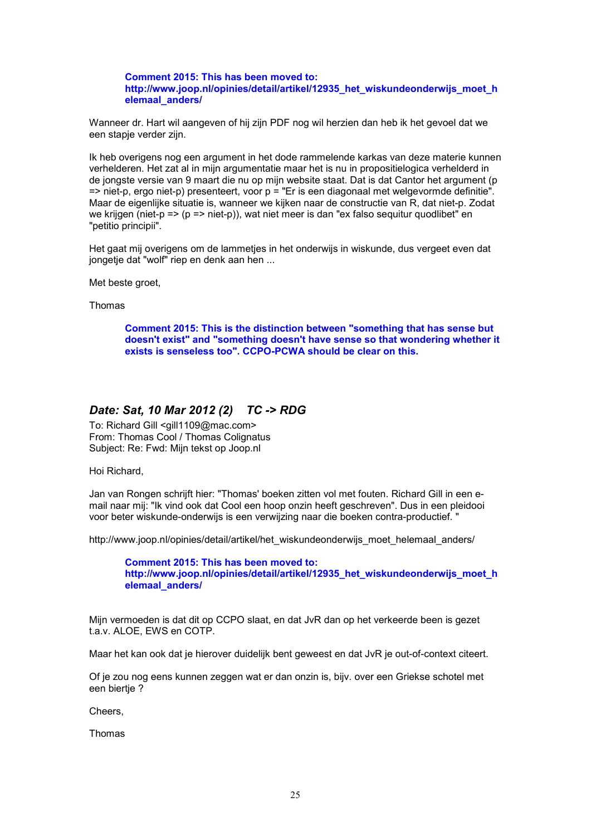**Comment 2015: This has been moved to: http://www.joop.nl/opinies/detail/artikel/12935\_het\_wiskundeonderwijs\_moet\_h elemaal\_anders/**

Wanneer dr. Hart wil aangeven of hij zijn PDF nog wil herzien dan heb ik het gevoel dat we een stapje verder zijn.

Ik heb overigens nog een argument in het dode rammelende karkas van deze materie kunnen verhelderen. Het zat al in mijn argumentatie maar het is nu in propositielogica verhelderd in de jongste versie van 9 maart die nu op mijn website staat. Dat is dat Cantor het argument (p => niet-p, ergo niet-p) presenteert, voor p = "Er is een diagonaal met welgevormde definitie". Maar de eigenlijke situatie is, wanneer we kijken naar de constructie van R, dat niet-p. Zodat we krijgen (niet-p => (p => niet-p)), wat niet meer is dan "ex falso sequitur quodlibet" en "petitio principii".

Het gaat mij overigens om de lammetjes in het onderwijs in wiskunde, dus vergeet even dat jongetje dat "wolf" riep en denk aan hen ...

Met beste groet,

Thomas

**Comment 2015: This is the distinction between "something that has sense but doesn't exist" and "something doesn't have sense so that wondering whether it exists is senseless too". CCPO-PCWA should be clear on this.**

### *Date: Sat, 10 Mar 2012 (2) TC -> RDG*

To: Richard Gill <gill1109@mac.com> From: Thomas Cool / Thomas Colignatus Subject: Re: Fwd: Mijn tekst op Joop.nl

Hoi Richard,

Jan van Rongen schrijft hier: "Thomas' boeken zitten vol met fouten. Richard Gill in een email naar mij: "Ik vind ook dat Cool een hoop onzin heeft geschreven". Dus in een pleidooi voor beter wiskunde-onderwijs is een verwijzing naar die boeken contra-productief. "

http://www.joop.nl/opinies/detail/artikel/het\_wiskundeonderwijs\_moet\_helemaal\_anders/

**Comment 2015: This has been moved to: http://www.joop.nl/opinies/detail/artikel/12935\_het\_wiskundeonderwijs\_moet\_h elemaal\_anders/**

Mijn vermoeden is dat dit op CCPO slaat, en dat JvR dan op het verkeerde been is gezet t.a.v. ALOE, EWS en COTP.

Maar het kan ook dat je hierover duidelijk bent geweest en dat JvR je out-of-context citeert.

Of je zou nog eens kunnen zeggen wat er dan onzin is, bijv. over een Griekse schotel met een biertje ?

Cheers,

Thomas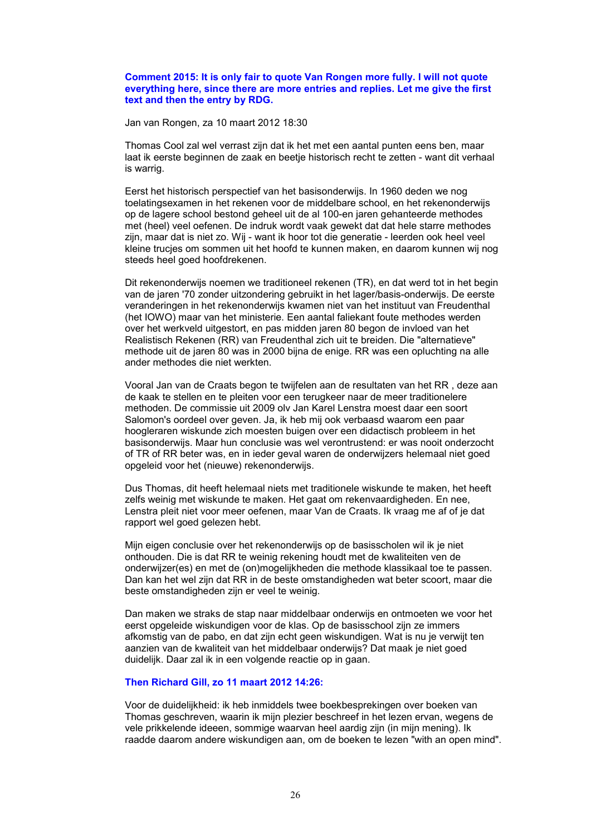#### **Comment 2015: It is only fair to quote Van Rongen more fully. I will not quote everything here, since there are more entries and replies. Let me give the first text and then the entry by RDG.**

Jan van Rongen, za 10 maart 2012 18:30

Thomas Cool zal wel verrast zijn dat ik het met een aantal punten eens ben, maar laat ik eerste beginnen de zaak en beetje historisch recht te zetten - want dit verhaal is warrig.

Eerst het historisch perspectief van het basisonderwijs. In 1960 deden we nog toelatingsexamen in het rekenen voor de middelbare school, en het rekenonderwijs op de lagere school bestond geheel uit de al 100-en jaren gehanteerde methodes met (heel) veel oefenen. De indruk wordt vaak gewekt dat dat hele starre methodes zijn, maar dat is niet zo. Wij - want ik hoor tot die generatie - leerden ook heel veel kleine trucjes om sommen uit het hoofd te kunnen maken, en daarom kunnen wij nog steeds heel goed hoofdrekenen.

Dit rekenonderwijs noemen we traditioneel rekenen (TR), en dat werd tot in het begin van de jaren '70 zonder uitzondering gebruikt in het lager/basis-onderwijs. De eerste veranderingen in het rekenonderwijs kwamen niet van het instituut van Freudenthal (het IOWO) maar van het ministerie. Een aantal faliekant foute methodes werden over het werkveld uitgestort, en pas midden jaren 80 begon de invloed van het Realistisch Rekenen (RR) van Freudenthal zich uit te breiden. Die "alternatieve" methode uit de jaren 80 was in 2000 bijna de enige. RR was een opluchting na alle ander methodes die niet werkten.

Vooral Jan van de Craats begon te twijfelen aan de resultaten van het RR , deze aan de kaak te stellen en te pleiten voor een terugkeer naar de meer traditionelere methoden. De commissie uit 2009 olv Jan Karel Lenstra moest daar een soort Salomon's oordeel over geven. Ja, ik heb mij ook verbaasd waarom een paar hoogleraren wiskunde zich moesten buigen over een didactisch probleem in het basisonderwijs. Maar hun conclusie was wel verontrustend: er was nooit onderzocht of TR of RR beter was, en in ieder geval waren de onderwijzers helemaal niet goed opgeleid voor het (nieuwe) rekenonderwijs.

Dus Thomas, dit heeft helemaal niets met traditionele wiskunde te maken, het heeft zelfs weinig met wiskunde te maken. Het gaat om rekenvaardigheden. En nee, Lenstra pleit niet voor meer oefenen, maar Van de Craats. Ik vraag me af of je dat rapport wel goed gelezen hebt.

Mijn eigen conclusie over het rekenonderwijs op de basisscholen wil ik je niet onthouden. Die is dat RR te weinig rekening houdt met de kwaliteiten ven de onderwijzer(es) en met de (on)mogelijkheden die methode klassikaal toe te passen. Dan kan het wel zijn dat RR in de beste omstandigheden wat beter scoort, maar die beste omstandigheden zijn er veel te weinig.

Dan maken we straks de stap naar middelbaar onderwijs en ontmoeten we voor het eerst opgeleide wiskundigen voor de klas. Op de basisschool zijn ze immers afkomstig van de pabo, en dat zijn echt geen wiskundigen. Wat is nu je verwijt ten aanzien van de kwaliteit van het middelbaar onderwijs? Dat maak je niet goed duidelijk. Daar zal ik in een volgende reactie op in gaan.

#### **Then Richard Gill, zo 11 maart 2012 14:26:**

Voor de duidelijkheid: ik heb inmiddels twee boekbesprekingen over boeken van Thomas geschreven, waarin ik mijn plezier beschreef in het lezen ervan, wegens de vele prikkelende ideeen, sommige waarvan heel aardig zijn (in mijn mening). Ik raadde daarom andere wiskundigen aan, om de boeken te lezen "with an open mind".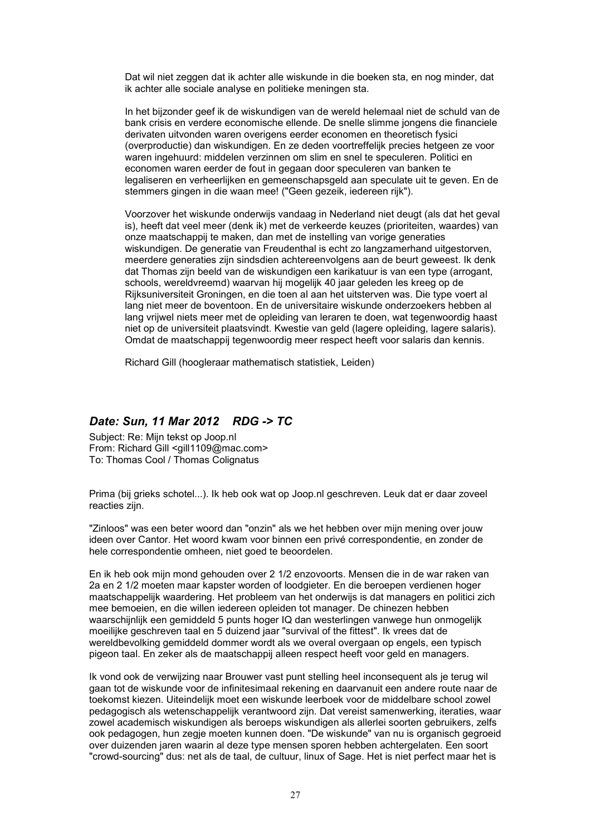Dat wil niet zeggen dat ik achter alle wiskunde in die boeken sta, en nog minder, dat ik achter alle sociale analyse en politieke meningen sta.

In het bijzonder geef ik de wiskundigen van de wereld helemaal niet de schuld van de bank crisis en verdere economische ellende. De snelle slimme jongens die financiele derivaten uitvonden waren overigens eerder economen en theoretisch fysici (overproductie) dan wiskundigen. En ze deden voortreffelijk precies hetgeen ze voor waren ingehuurd: middelen verzinnen om slim en snel te speculeren. Politici en economen waren eerder de fout in gegaan door speculeren van banken te legaliseren en verheerlijken en gemeenschapsgeld aan speculate uit te geven. En de stemmers gingen in die waan mee! ("Geen gezeik, iedereen rijk").

Voorzover het wiskunde onderwijs vandaag in Nederland niet deugt (als dat het geval is), heeft dat veel meer (denk ik) met de verkeerde keuzes (prioriteiten, waardes) van onze maatschappij te maken, dan met de instelling van vorige generaties wiskundigen. De generatie van Freudenthal is echt zo langzamerhand uitgestorven, meerdere generaties zijn sindsdien achtereenvolgens aan de beurt geweest. Ik denk dat Thomas zijn beeld van de wiskundigen een karikatuur is van een type (arrogant, schools, wereldvreemd) waarvan hij mogelijk 40 jaar geleden les kreeg op de Rijksuniversiteit Groningen, en die toen al aan het uitsterven was. Die type voert al lang niet meer de boventoon. En de universitaire wiskunde onderzoekers hebben al lang vrijwel niets meer met de opleiding van leraren te doen, wat tegenwoordig haast niet op de universiteit plaatsvindt. Kwestie van geld (lagere opleiding, lagere salaris). Omdat de maatschappij tegenwoordig meer respect heeft voor salaris dan kennis.

Richard Gill (hoogleraar mathematisch statistiek, Leiden)

## *Date: Sun, 11 Mar 2012 RDG -> TC*

Subject: Re: Mijn tekst op Joop.nl From: Richard Gill <gill1109@mac.com> To: Thomas Cool / Thomas Colignatus

Prima (bij grieks schotel...). Ik heb ook wat op Joop.nl geschreven. Leuk dat er daar zoveel reacties zijn.

"Zinloos" was een beter woord dan "onzin" als we het hebben over mijn mening over jouw ideen over Cantor. Het woord kwam voor binnen een privé correspondentie, en zonder de hele correspondentie omheen, niet goed te beoordelen.

En ik heb ook mijn mond gehouden over 2 1/2 enzovoorts. Mensen die in de war raken van 2a en 2 1/2 moeten maar kapster worden of loodgieter. En die beroepen verdienen hoger maatschappelijk waardering. Het probleem van het onderwijs is dat managers en politici zich mee bemoeien, en die willen iedereen opleiden tot manager. De chinezen hebben waarschijnlijk een gemiddeld 5 punts hoger IQ dan westerlingen vanwege hun onmogelijk moeilijke geschreven taal en 5 duizend jaar "survival of the fittest". Ik vrees dat de wereldbevolking gemiddeld dommer wordt als we overal overgaan op engels, een typisch pigeon taal. En zeker als de maatschappij alleen respect heeft voor geld en managers.

Ik vond ook de verwijzing naar Brouwer vast punt stelling heel inconsequent als je terug wil gaan tot de wiskunde voor de infinitesimaal rekening en daarvanuit een andere route naar de toekomst kiezen. Uiteindelijk moet een wiskunde leerboek voor de middelbare school zowel pedagogisch als wetenschappelijk verantwoord zijn. Dat vereist samenwerking, iteraties, waar zowel academisch wiskundigen als beroeps wiskundigen als allerlei soorten gebruikers, zelfs ook pedagogen, hun zegje moeten kunnen doen. "De wiskunde" van nu is organisch gegroeid over duizenden jaren waarin al deze type mensen sporen hebben achtergelaten. Een soort "crowd-sourcing" dus: net als de taal, de cultuur, linux of Sage. Het is niet perfect maar het is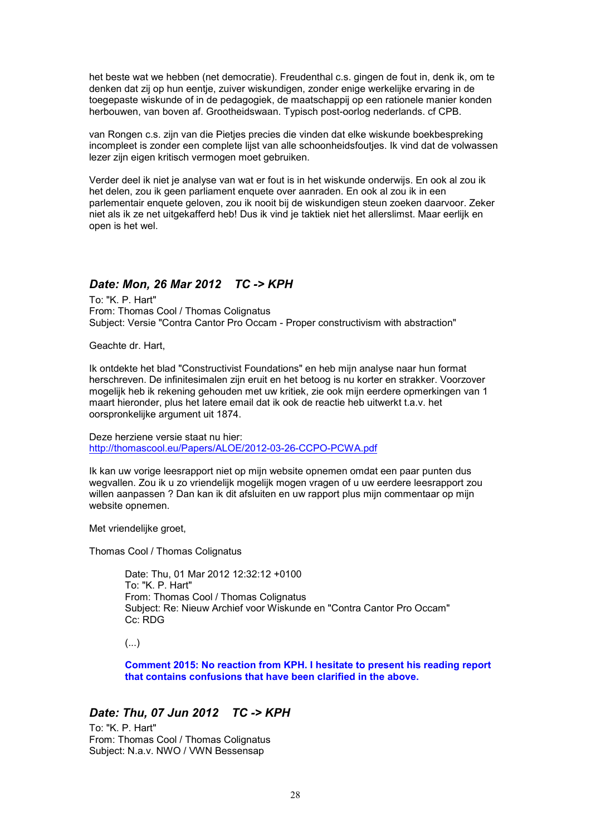het beste wat we hebben (net democratie). Freudenthal c.s. gingen de fout in, denk ik, om te denken dat zij op hun eentje, zuiver wiskundigen, zonder enige werkelijke ervaring in de toegepaste wiskunde of in de pedagogiek, de maatschappij op een rationele manier konden herbouwen, van boven af. Grootheidswaan. Typisch post-oorlog nederlands. cf CPB.

van Rongen c.s. zijn van die Pietjes precies die vinden dat elke wiskunde boekbespreking incompleet is zonder een complete lijst van alle schoonheidsfoutjes. Ik vind dat de volwassen lezer zijn eigen kritisch vermogen moet gebruiken.

Verder deel ik niet je analyse van wat er fout is in het wiskunde onderwijs. En ook al zou ik het delen, zou ik geen parliament enquete over aanraden. En ook al zou ik in een parlementair enquete geloven, zou ik nooit bij de wiskundigen steun zoeken daarvoor. Zeker niet als ik ze net uitgekafferd heb! Dus ik vind je taktiek niet het allerslimst. Maar eerlijk en open is het wel.

## *Date: Mon, 26 Mar 2012 TC -> KPH*

To: "K. P. Hart" From: Thomas Cool / Thomas Colignatus Subject: Versie "Contra Cantor Pro Occam - Proper constructivism with abstraction"

Geachte dr. Hart,

Ik ontdekte het blad "Constructivist Foundations" en heb mijn analyse naar hun format herschreven. De infinitesimalen zijn eruit en het betoog is nu korter en strakker. Voorzover mogelijk heb ik rekening gehouden met uw kritiek, zie ook mijn eerdere opmerkingen van 1 maart hieronder, plus het latere email dat ik ook de reactie heb uitwerkt t.a.v. het oorspronkelijke argument uit 1874.

Deze herziene versie staat nu hier: http://thomascool.eu/Papers/ALOE/2012-03-26-CCPO-PCWA.pdf

Ik kan uw vorige leesrapport niet op mijn website opnemen omdat een paar punten dus wegvallen. Zou ik u zo vriendelijk mogelijk mogen vragen of u uw eerdere leesrapport zou willen aanpassen ? Dan kan ik dit afsluiten en uw rapport plus mijn commentaar op mijn website opnemen.

Met vriendelijke groet,

Thomas Cool / Thomas Colignatus

Date: Thu, 01 Mar 2012 12:32:12 +0100 To: "K. P. Hart" From: Thomas Cool / Thomas Colignatus Subject: Re: Nieuw Archief voor Wiskunde en "Contra Cantor Pro Occam" Cc: RDG

(...)

**Comment 2015: No reaction from KPH. I hesitate to present his reading report that contains confusions that have been clarified in the above.**

### *Date: Thu, 07 Jun 2012 TC -> KPH*

To: "K. P. Hart" From: Thomas Cool / Thomas Colignatus Subject: N.a.v. NWO / VWN Bessensap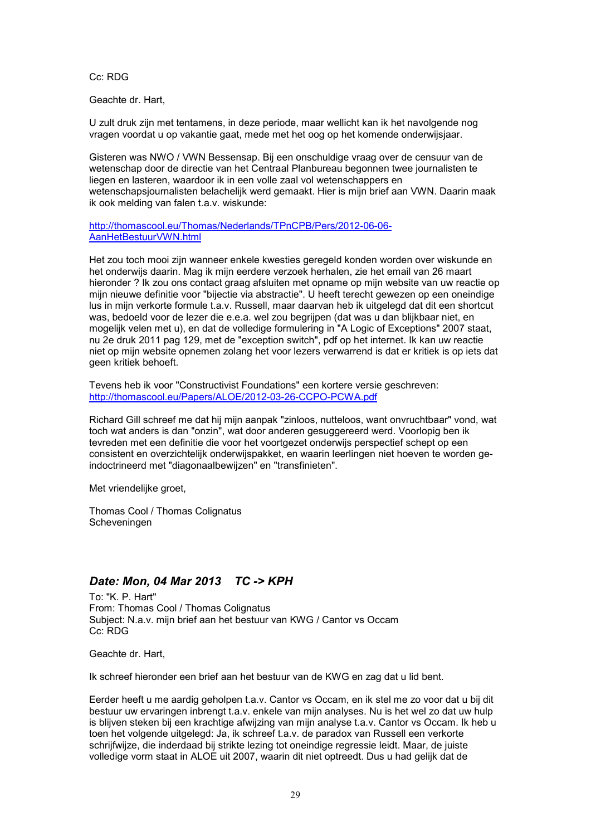Cc: RDG

Geachte dr. Hart,

U zult druk zijn met tentamens, in deze periode, maar wellicht kan ik het navolgende nog vragen voordat u op vakantie gaat, mede met het oog op het komende onderwijsjaar.

Gisteren was NWO / VWN Bessensap. Bij een onschuldige vraag over de censuur van de wetenschap door de directie van het Centraal Planbureau begonnen twee journalisten te liegen en lasteren, waardoor ik in een volle zaal vol wetenschappers en wetenschapsjournalisten belachelijk werd gemaakt. Hier is mijn brief aan VWN. Daarin maak ik ook melding van falen t.a.v. wiskunde:

http://thomascool.eu/Thomas/Nederlands/TPnCPB/Pers/2012-06-06- AanHetBestuurVWN.html

Het zou toch mooi zijn wanneer enkele kwesties geregeld konden worden over wiskunde en het onderwijs daarin. Mag ik mijn eerdere verzoek herhalen, zie het email van 26 maart hieronder ? Ik zou ons contact graag afsluiten met opname op mijn website van uw reactie op mijn nieuwe definitie voor "bijectie via abstractie". U heeft terecht gewezen op een oneindige lus in mijn verkorte formule t.a.v. Russell, maar daarvan heb ik uitgelegd dat dit een shortcut was, bedoeld voor de lezer die e.e.a. wel zou begrijpen (dat was u dan blijkbaar niet, en mogelijk velen met u), en dat de volledige formulering in "A Logic of Exceptions" 2007 staat, nu 2e druk 2011 pag 129, met de "exception switch", pdf op het internet. Ik kan uw reactie niet op mijn website opnemen zolang het voor lezers verwarrend is dat er kritiek is op iets dat geen kritiek behoeft.

Tevens heb ik voor "Constructivist Foundations" een kortere versie geschreven: http://thomascool.eu/Papers/ALOE/2012-03-26-CCPO-PCWA.pdf

Richard Gill schreef me dat hij mijn aanpak "zinloos, nutteloos, want onvruchtbaar" vond, wat toch wat anders is dan "onzin", wat door anderen gesuggereerd werd. Voorlopig ben ik tevreden met een definitie die voor het voortgezet onderwijs perspectief schept op een consistent en overzichtelijk onderwijspakket, en waarin leerlingen niet hoeven te worden geindoctrineerd met "diagonaalbewijzen" en "transfinieten".

Met vriendelijke groet,

Thomas Cool / Thomas Colignatus Scheveningen

# *Date: Mon, 04 Mar 2013 TC -> KPH*

To: "K. P. Hart" From: Thomas Cool / Thomas Colignatus Subject: N.a.v. mijn brief aan het bestuur van KWG / Cantor vs Occam Cc: RDG

Geachte dr. Hart,

Ik schreef hieronder een brief aan het bestuur van de KWG en zag dat u lid bent.

Eerder heeft u me aardig geholpen t.a.v. Cantor vs Occam, en ik stel me zo voor dat u bij dit bestuur uw ervaringen inbrengt t.a.v. enkele van mijn analyses. Nu is het wel zo dat uw hulp is blijven steken bij een krachtige afwijzing van mijn analyse t.a.v. Cantor vs Occam. Ik heb u toen het volgende uitgelegd: Ja, ik schreef t.a.v. de paradox van Russell een verkorte schrijfwijze, die inderdaad bij strikte lezing tot oneindige regressie leidt. Maar, de juiste volledige vorm staat in ALOE uit 2007, waarin dit niet optreedt. Dus u had gelijk dat de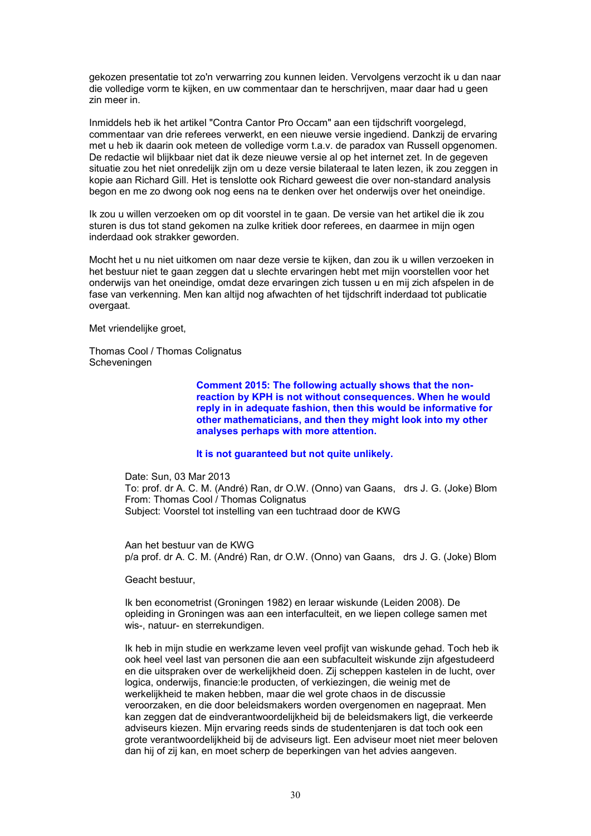gekozen presentatie tot zo'n verwarring zou kunnen leiden. Vervolgens verzocht ik u dan naar die volledige vorm te kijken, en uw commentaar dan te herschrijven, maar daar had u geen zin meer in.

Inmiddels heb ik het artikel "Contra Cantor Pro Occam" aan een tijdschrift voorgelegd, commentaar van drie referees verwerkt, en een nieuwe versie ingediend. Dankzij de ervaring met u heb ik daarin ook meteen de volledige vorm t.a.v. de paradox van Russell opgenomen. De redactie wil blijkbaar niet dat ik deze nieuwe versie al op het internet zet. In de gegeven situatie zou het niet onredelijk zijn om u deze versie bilateraal te laten lezen, ik zou zeggen in kopie aan Richard Gill. Het is tenslotte ook Richard geweest die over non-standard analysis begon en me zo dwong ook nog eens na te denken over het onderwijs over het oneindige.

Ik zou u willen verzoeken om op dit voorstel in te gaan. De versie van het artikel die ik zou sturen is dus tot stand gekomen na zulke kritiek door referees, en daarmee in mijn ogen inderdaad ook strakker geworden.

Mocht het u nu niet uitkomen om naar deze versie te kijken, dan zou ik u willen verzoeken in het bestuur niet te gaan zeggen dat u slechte ervaringen hebt met mijn voorstellen voor het onderwijs van het oneindige, omdat deze ervaringen zich tussen u en mij zich afspelen in de fase van verkenning. Men kan altijd nog afwachten of het tijdschrift inderdaad tot publicatie overgaat.

Met vriendelijke groet,

Thomas Cool / Thomas Colignatus Scheveningen

> **Comment 2015: The following actually shows that the nonreaction by KPH is not without consequences. When he would reply in in adequate fashion, then this would be informative for other mathematicians, and then they might look into my other analyses perhaps with more attention.**

#### **It is not guaranteed but not quite unlikely.**

Date: Sun, 03 Mar 2013 To: prof. dr A. C. M. (André) Ran, dr O.W. (Onno) van Gaans, drs J. G. (Joke) Blom From: Thomas Cool / Thomas Colignatus Subject: Voorstel tot instelling van een tuchtraad door de KWG

Aan het bestuur van de KWG p/a prof. dr A. C. M. (André) Ran, dr O.W. (Onno) van Gaans, drs J. G. (Joke) Blom

Geacht bestuur,

Ik ben econometrist (Groningen 1982) en leraar wiskunde (Leiden 2008). De opleiding in Groningen was aan een interfaculteit, en we liepen college samen met wis-, natuur- en sterrekundigen.

Ik heb in mijn studie en werkzame leven veel profijt van wiskunde gehad. Toch heb ik ook heel veel last van personen die aan een subfaculteit wiskunde zijn afgestudeerd en die uitspraken over de werkelijkheid doen. Zij scheppen kastelen in de lucht, over logica, onderwijs, financie:le producten, of verkiezingen, die weinig met de werkelijkheid te maken hebben, maar die wel grote chaos in de discussie veroorzaken, en die door beleidsmakers worden overgenomen en nagepraat. Men kan zeggen dat de eindverantwoordelijkheid bij de beleidsmakers ligt, die verkeerde adviseurs kiezen. Mijn ervaring reeds sinds de studentenjaren is dat toch ook een grote verantwoordelijkheid bij de adviseurs ligt. Een adviseur moet niet meer beloven dan hij of zij kan, en moet scherp de beperkingen van het advies aangeven.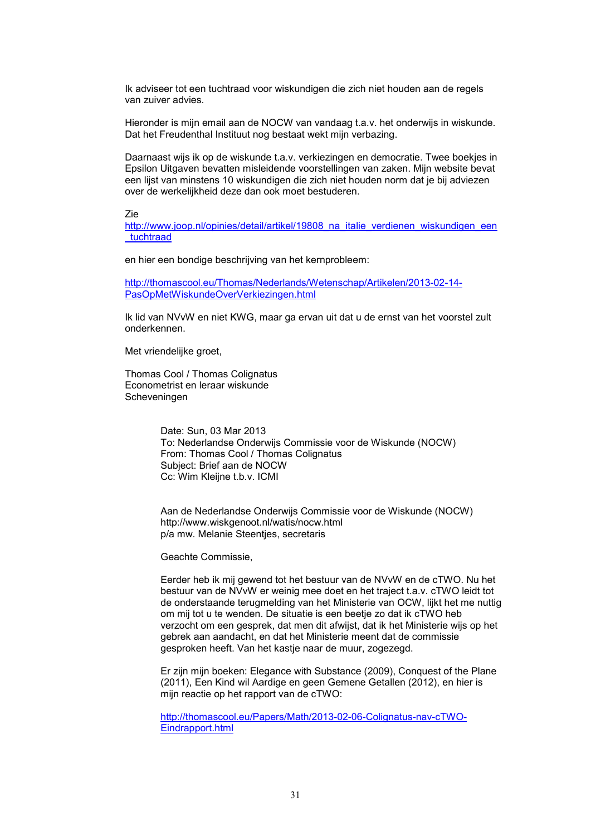Ik adviseer tot een tuchtraad voor wiskundigen die zich niet houden aan de regels van zuiver advies.

Hieronder is mijn email aan de NOCW van vandaag t.a.v. het onderwijs in wiskunde. Dat het Freudenthal Instituut nog bestaat wekt mijn verbazing.

Daarnaast wijs ik op de wiskunde t.a.v. verkiezingen en democratie. Twee boekjes in Epsilon Uitgaven bevatten misleidende voorstellingen van zaken. Mijn website bevat een lijst van minstens 10 wiskundigen die zich niet houden norm dat je bij adviezen over de werkelijkheid deze dan ook moet bestuderen.

Zie

http://www.joop.nl/opinies/detail/artikel/19808\_na\_italie\_verdienen\_wiskundigen\_een \_tuchtraad

en hier een bondige beschrijving van het kernprobleem:

http://thomascool.eu/Thomas/Nederlands/Wetenschap/Artikelen/2013-02-14- PasOpMetWiskundeOverVerkiezingen.html

Ik lid van NVvW en niet KWG, maar ga ervan uit dat u de ernst van het voorstel zult onderkennen.

Met vriendelijke groet,

Thomas Cool / Thomas Colignatus Econometrist en leraar wiskunde Scheveningen

> Date: Sun, 03 Mar 2013 To: Nederlandse Onderwijs Commissie voor de Wiskunde (NOCW) From: Thomas Cool / Thomas Colignatus Subject: Brief aan de NOCW Cc: Wim Kleijne t.b.v. ICMI

Aan de Nederlandse Onderwijs Commissie voor de Wiskunde (NOCW) http://www.wiskgenoot.nl/watis/nocw.html p/a mw. Melanie Steentjes, secretaris

Geachte Commissie,

Eerder heb ik mij gewend tot het bestuur van de NVvW en de cTWO. Nu het bestuur van de NVvW er weinig mee doet en het traject t.a.v. cTWO leidt tot de onderstaande terugmelding van het Ministerie van OCW, lijkt het me nuttig om mij tot u te wenden. De situatie is een beetje zo dat ik cTWO heb verzocht om een gesprek, dat men dit afwijst, dat ik het Ministerie wijs op het gebrek aan aandacht, en dat het Ministerie meent dat de commissie gesproken heeft. Van het kastje naar de muur, zogezegd.

Er zijn mijn boeken: Elegance with Substance (2009), Conquest of the Plane (2011), Een Kind wil Aardige en geen Gemene Getallen (2012), en hier is mijn reactie op het rapport van de cTWO:

http://thomascool.eu/Papers/Math/2013-02-06-Colignatus-nav-cTWO-Eindrapport.html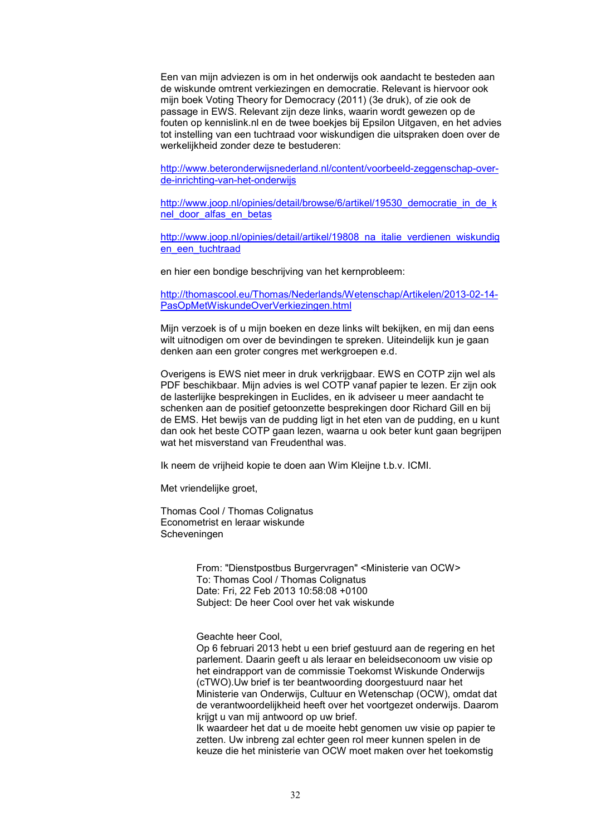Een van mijn adviezen is om in het onderwijs ook aandacht te besteden aan de wiskunde omtrent verkiezingen en democratie. Relevant is hiervoor ook mijn boek Voting Theory for Democracy (2011) (3e druk), of zie ook de passage in EWS. Relevant zijn deze links, waarin wordt gewezen op de fouten op kennislink.nl en de twee boekjes bij Epsilon Uitgaven, en het advies tot instelling van een tuchtraad voor wiskundigen die uitspraken doen over de werkelijkheid zonder deze te bestuderen:

http://www.beteronderwijsnederland.nl/content/voorbeeld-zeggenschap-overde-inrichting-van-het-onderwijs

http://www.joop.nl/opinies/detail/browse/6/artikel/19530\_democratie\_in\_de\_k nel door alfas en betas

http://www.joop.nl/opinies/detail/artikel/19808\_na\_italie\_verdienen\_wiskundig en\_een\_tuchtraad

en hier een bondige beschrijving van het kernprobleem:

http://thomascool.eu/Thomas/Nederlands/Wetenschap/Artikelen/2013-02-14- PasOpMetWiskundeOverVerkiezingen.html

Mijn verzoek is of u mijn boeken en deze links wilt bekijken, en mij dan eens wilt uitnodigen om over de bevindingen te spreken. Uiteindelijk kun je gaan denken aan een groter congres met werkgroepen e.d.

Overigens is EWS niet meer in druk verkrijgbaar. EWS en COTP zijn wel als PDF beschikbaar. Mijn advies is wel COTP vanaf papier te lezen. Er zijn ook de lasterlijke besprekingen in Euclides, en ik adviseer u meer aandacht te schenken aan de positief getoonzette besprekingen door Richard Gill en bij de EMS. Het bewijs van de pudding ligt in het eten van de pudding, en u kunt dan ook het beste COTP gaan lezen, waarna u ook beter kunt gaan begrijpen wat het misverstand van Freudenthal was.

Ik neem de vrijheid kopie te doen aan Wim Kleijne t.b.v. ICMI.

Met vriendelijke groet,

Thomas Cool / Thomas Colignatus Econometrist en leraar wiskunde Scheveningen

> From: "Dienstpostbus Burgervragen" <Ministerie van OCW> To: Thomas Cool / Thomas Colignatus Date: Fri, 22 Feb 2013 10:58:08 +0100 Subject: De heer Cool over het vak wiskunde

Geachte heer Cool,

Op 6 februari 2013 hebt u een brief gestuurd aan de regering en het parlement. Daarin geeft u als leraar en beleidseconoom uw visie op het eindrapport van de commissie Toekomst Wiskunde Onderwijs (cTWO).Uw brief is ter beantwoording doorgestuurd naar het Ministerie van Onderwijs, Cultuur en Wetenschap (OCW), omdat dat de verantwoordelijkheid heeft over het voortgezet onderwijs. Daarom krijgt u van mij antwoord op uw brief.

Ik waardeer het dat u de moeite hebt genomen uw visie op papier te zetten. Uw inbreng zal echter geen rol meer kunnen spelen in de keuze die het ministerie van OCW moet maken over het toekomstig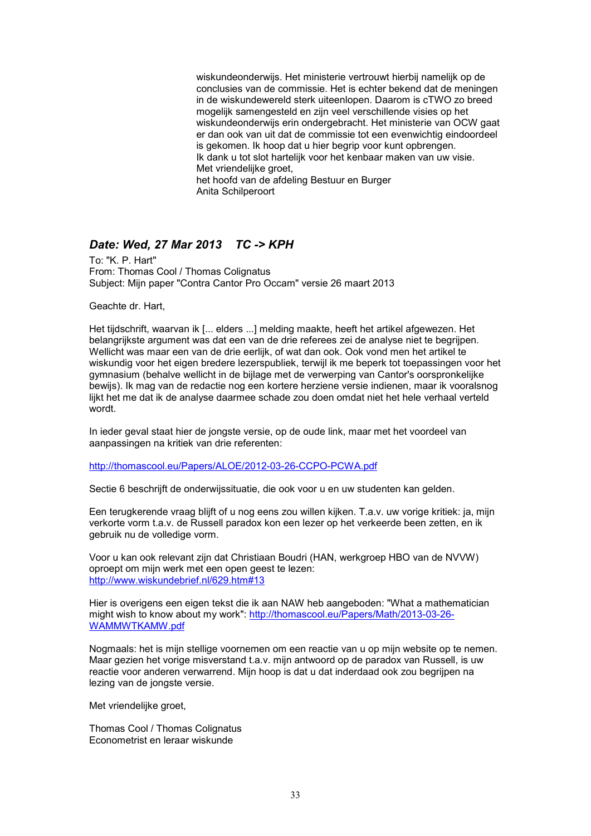wiskundeonderwijs. Het ministerie vertrouwt hierbij namelijk op de conclusies van de commissie. Het is echter bekend dat de meningen in de wiskundewereld sterk uiteenlopen. Daarom is cTWO zo breed mogelijk samengesteld en zijn veel verschillende visies op het wiskundeonderwijs erin ondergebracht. Het ministerie van OCW gaat er dan ook van uit dat de commissie tot een evenwichtig eindoordeel is gekomen. Ik hoop dat u hier begrip voor kunt opbrengen. Ik dank u tot slot hartelijk voor het kenbaar maken van uw visie. Met vriendelijke groet, het hoofd van de afdeling Bestuur en Burger Anita Schilperoort

# *Date: Wed, 27 Mar 2013 TC -> KPH*

To: "K. P. Hart" From: Thomas Cool / Thomas Colignatus Subject: Mijn paper "Contra Cantor Pro Occam" versie 26 maart 2013

Geachte dr. Hart,

Het tijdschrift, waarvan ik [... elders ...] melding maakte, heeft het artikel afgewezen. Het belangrijkste argument was dat een van de drie referees zei de analyse niet te begrijpen. Wellicht was maar een van de drie eerlijk, of wat dan ook. Ook vond men het artikel te wiskundig voor het eigen bredere lezerspubliek, terwijl ik me beperk tot toepassingen voor het gymnasium (behalve wellicht in de bijlage met de verwerping van Cantor's oorspronkelijke bewijs). Ik mag van de redactie nog een kortere herziene versie indienen, maar ik vooralsnog lijkt het me dat ik de analyse daarmee schade zou doen omdat niet het hele verhaal verteld wordt.

In ieder geval staat hier de jongste versie, op de oude link, maar met het voordeel van aanpassingen na kritiek van drie referenten:

http://thomascool.eu/Papers/ALOE/2012-03-26-CCPO-PCWA.pdf

Sectie 6 beschrijft de onderwijssituatie, die ook voor u en uw studenten kan gelden.

Een terugkerende vraag blijft of u nog eens zou willen kijken. T.a.v. uw vorige kritiek: ja, mijn verkorte vorm t.a.v. de Russell paradox kon een lezer op het verkeerde been zetten, en ik gebruik nu de volledige vorm.

Voor u kan ook relevant zijn dat Christiaan Boudri (HAN, werkgroep HBO van de NVVW) oproept om mijn werk met een open geest te lezen: http://www.wiskundebrief.nl/629.htm#13

Hier is overigens een eigen tekst die ik aan NAW heb aangeboden: "What a mathematician might wish to know about my work": http://thomascool.eu/Papers/Math/2013-03-26- WAMMWTKAMW.pdf

Nogmaals: het is mijn stellige voornemen om een reactie van u op mijn website op te nemen. Maar gezien het vorige misverstand t.a.v. mijn antwoord op de paradox van Russell, is uw reactie voor anderen verwarrend. Mijn hoop is dat u dat inderdaad ook zou begrijpen na lezing van de jongste versie.

Met vriendelijke groet,

Thomas Cool / Thomas Colignatus Econometrist en leraar wiskunde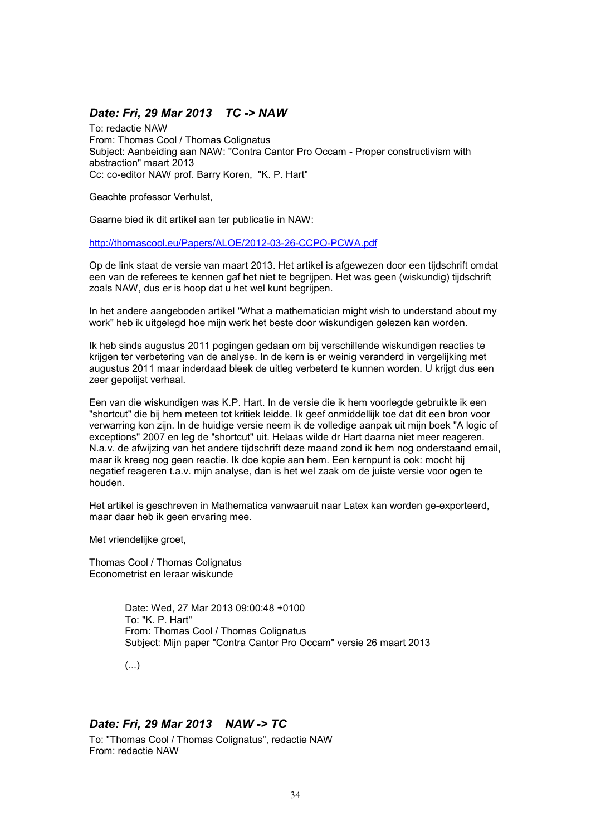## *Date: Fri, 29 Mar 2013 TC -> NAW*

To: redactie NAW From: Thomas Cool / Thomas Colignatus Subject: Aanbeiding aan NAW: "Contra Cantor Pro Occam - Proper constructivism with abstraction" maart 2013 Cc: co-editor NAW prof. Barry Koren, "K. P. Hart"

Geachte professor Verhulst,

Gaarne bied ik dit artikel aan ter publicatie in NAW:

http://thomascool.eu/Papers/ALOE/2012-03-26-CCPO-PCWA.pdf

Op de link staat de versie van maart 2013. Het artikel is afgewezen door een tijdschrift omdat een van de referees te kennen gaf het niet te begrijpen. Het was geen (wiskundig) tijdschrift zoals NAW, dus er is hoop dat u het wel kunt begrijpen.

In het andere aangeboden artikel "What a mathematician might wish to understand about my work" heb ik uitgelegd hoe mijn werk het beste door wiskundigen gelezen kan worden.

Ik heb sinds augustus 2011 pogingen gedaan om bij verschillende wiskundigen reacties te krijgen ter verbetering van de analyse. In de kern is er weinig veranderd in vergelijking met augustus 2011 maar inderdaad bleek de uitleg verbeterd te kunnen worden. U krijgt dus een zeer gepolijst verhaal.

Een van die wiskundigen was K.P. Hart. In de versie die ik hem voorlegde gebruikte ik een "shortcut" die bij hem meteen tot kritiek leidde. Ik geef onmiddellijk toe dat dit een bron voor verwarring kon zijn. In de huidige versie neem ik de volledige aanpak uit mijn boek "A logic of exceptions" 2007 en leg de "shortcut" uit. Helaas wilde dr Hart daarna niet meer reageren. N.a.v. de afwijzing van het andere tijdschrift deze maand zond ik hem nog onderstaand email, maar ik kreeg nog geen reactie. Ik doe kopie aan hem. Een kernpunt is ook: mocht hij negatief reageren t.a.v. mijn analyse, dan is het wel zaak om de juiste versie voor ogen te houden.

Het artikel is geschreven in Mathematica vanwaaruit naar Latex kan worden ge-exporteerd, maar daar heb ik geen ervaring mee.

Met vriendelijke groet,

Thomas Cool / Thomas Colignatus Econometrist en leraar wiskunde

> Date: Wed, 27 Mar 2013 09:00:48 +0100 To: "K. P. Hart" From: Thomas Cool / Thomas Colignatus Subject: Mijn paper "Contra Cantor Pro Occam" versie 26 maart 2013

(...)

### *Date: Fri, 29 Mar 2013 NAW -> TC*

To: "Thomas Cool / Thomas Colignatus", redactie NAW From: redactie NAW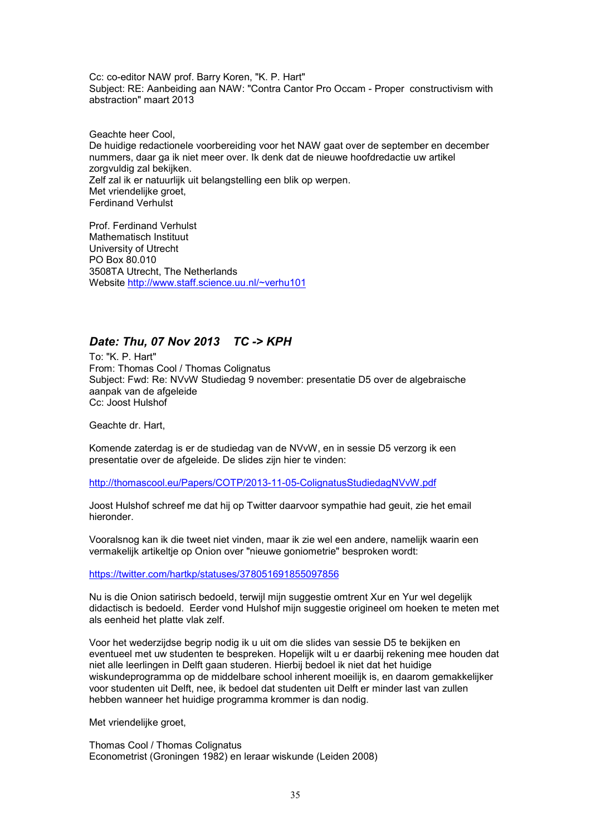Cc: co-editor NAW prof. Barry Koren, "K. P. Hart" Subject: RE: Aanbeiding aan NAW: "Contra Cantor Pro Occam - Proper constructivism with abstraction" maart 2013

Geachte heer Cool, De huidige redactionele voorbereiding voor het NAW gaat over de september en december nummers, daar ga ik niet meer over. Ik denk dat de nieuwe hoofdredactie uw artikel zorgvuldig zal bekijken. Zelf zal ik er natuurlijk uit belangstelling een blik op werpen. Met vriendelijke groet, Ferdinand Verhulst

Prof. Ferdinand Verhulst Mathematisch Instituut University of Utrecht PO Box 80.010 3508TA Utrecht, The Netherlands Website http://www.staff.science.uu.nl/~verhu101

### *Date: Thu, 07 Nov 2013 TC -> KPH*

To: "K. P. Hart" From: Thomas Cool / Thomas Colignatus Subject: Fwd: Re: NVvW Studiedag 9 november: presentatie D5 over de algebraische aanpak van de afgeleide Cc: Joost Hulshof

Geachte dr. Hart,

Komende zaterdag is er de studiedag van de NVvW, en in sessie D5 verzorg ik een presentatie over de afgeleide. De slides zijn hier te vinden:

http://thomascool.eu/Papers/COTP/2013-11-05-ColignatusStudiedagNVvW.pdf

Joost Hulshof schreef me dat hij op Twitter daarvoor sympathie had geuit, zie het email hieronder.

Vooralsnog kan ik die tweet niet vinden, maar ik zie wel een andere, namelijk waarin een vermakelijk artikeltje op Onion over "nieuwe goniometrie" besproken wordt:

https://twitter.com/hartkp/statuses/378051691855097856

Nu is die Onion satirisch bedoeld, terwijl mijn suggestie omtrent Xur en Yur wel degelijk didactisch is bedoeld. Eerder vond Hulshof mijn suggestie origineel om hoeken te meten met als eenheid het platte vlak zelf.

Voor het wederzijdse begrip nodig ik u uit om die slides van sessie D5 te bekijken en eventueel met uw studenten te bespreken. Hopelijk wilt u er daarbij rekening mee houden dat niet alle leerlingen in Delft gaan studeren. Hierbij bedoel ik niet dat het huidige wiskundeprogramma op de middelbare school inherent moeilijk is, en daarom gemakkelijker voor studenten uit Delft, nee, ik bedoel dat studenten uit Delft er minder last van zullen hebben wanneer het huidige programma krommer is dan nodig.

Met vriendelijke groet,

Thomas Cool / Thomas Colignatus Econometrist (Groningen 1982) en leraar wiskunde (Leiden 2008)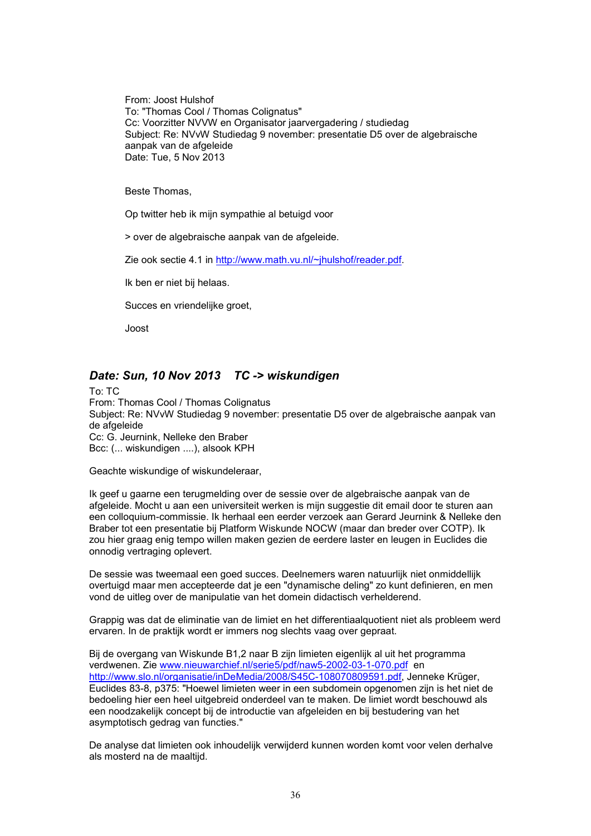From: Joost Hulshof To: "Thomas Cool / Thomas Colignatus" Cc: Voorzitter NVVW en Organisator jaarvergadering / studiedag Subject: Re: NVvW Studiedag 9 november: presentatie D5 over de algebraische aanpak van de afgeleide Date: Tue, 5 Nov 2013

Beste Thomas,

Op twitter heb ik mijn sympathie al betuigd voor

> over de algebraische aanpak van de afgeleide.

Zie ook sectie 4.1 in http://www.math.vu.nl/~jhulshof/reader.pdf.

Ik ben er niet bij helaas.

Succes en vriendelijke groet,

Joost

# *Date: Sun, 10 Nov 2013 TC -> wiskundigen*

To: TC From: Thomas Cool / Thomas Colignatus Subject: Re: NVvW Studiedag 9 november: presentatie D5 over de algebraische aanpak van de afgeleide Cc: G. Jeurnink, Nelleke den Braber Bcc: (... wiskundigen ....), alsook KPH

Geachte wiskundige of wiskundeleraar,

Ik geef u gaarne een terugmelding over de sessie over de algebraische aanpak van de afgeleide. Mocht u aan een universiteit werken is mijn suggestie dit email door te sturen aan een colloquium-commissie. Ik herhaal een eerder verzoek aan Gerard Jeurnink & Nelleke den Braber tot een presentatie bij Platform Wiskunde NOCW (maar dan breder over COTP). Ik zou hier graag enig tempo willen maken gezien de eerdere laster en leugen in Euclides die onnodig vertraging oplevert.

De sessie was tweemaal een goed succes. Deelnemers waren natuurlijk niet onmiddellijk overtuigd maar men accepteerde dat je een "dynamische deling" zo kunt definieren, en men vond de uitleg over de manipulatie van het domein didactisch verhelderend.

Grappig was dat de eliminatie van de limiet en het differentiaalquotient niet als probleem werd ervaren. In de praktijk wordt er immers nog slechts vaag over gepraat.

Bij de overgang van Wiskunde B1,2 naar B zijn limieten eigenlijk al uit het programma verdwenen. Zie www.nieuwarchief.nl/serie5/pdf/naw5-2002-03-1-070.pdf en http://www.slo.nl/organisatie/inDeMedia/2008/S45C-108070809591.pdf, Jenneke Krüger, Euclides 83-8, p375: "Hoewel limieten weer in een subdomein opgenomen zijn is het niet de bedoeling hier een heel uitgebreid onderdeel van te maken. De limiet wordt beschouwd als een noodzakelijk concept bij de introductie van afgeleiden en bij bestudering van het asymptotisch gedrag van functies."

De analyse dat limieten ook inhoudelijk verwijderd kunnen worden komt voor velen derhalve als mosterd na de maaltijd.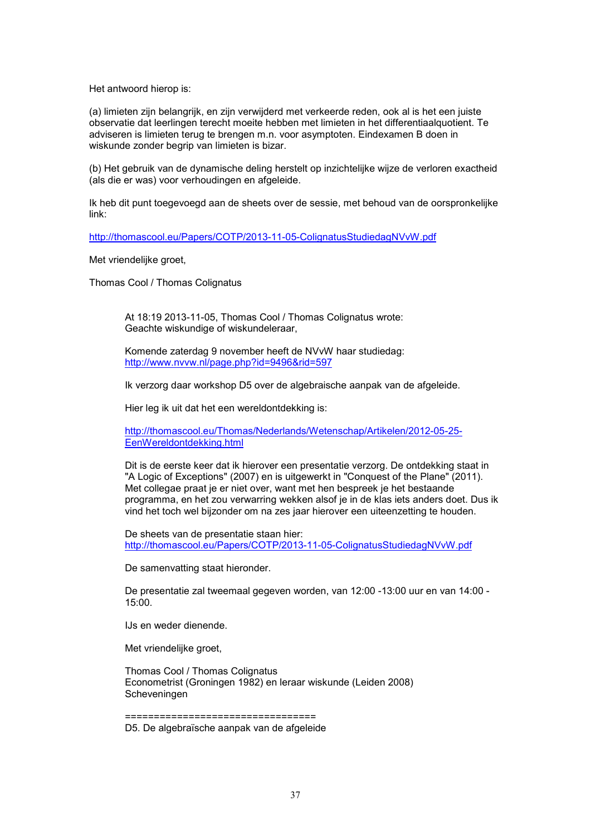Het antwoord hierop is:

(a) limieten zijn belangrijk, en zijn verwijderd met verkeerde reden, ook al is het een juiste observatie dat leerlingen terecht moeite hebben met limieten in het differentiaalquotient. Te adviseren is limieten terug te brengen m.n. voor asymptoten. Eindexamen B doen in wiskunde zonder begrip van limieten is bizar.

(b) Het gebruik van de dynamische deling herstelt op inzichtelijke wijze de verloren exactheid (als die er was) voor verhoudingen en afgeleide.

Ik heb dit punt toegevoegd aan de sheets over de sessie, met behoud van de oorspronkelijke link:

http://thomascool.eu/Papers/COTP/2013-11-05-ColignatusStudiedagNVvW.pdf

Met vriendelijke groet,

Thomas Cool / Thomas Colignatus

At 18:19 2013-11-05, Thomas Cool / Thomas Colignatus wrote: Geachte wiskundige of wiskundeleraar,

Komende zaterdag 9 november heeft de NVvW haar studiedag: http://www.nvvw.nl/page.php?id=9496&rid=597

Ik verzorg daar workshop D5 over de algebraische aanpak van de afgeleide.

Hier leg ik uit dat het een wereldontdekking is:

http://thomascool.eu/Thomas/Nederlands/Wetenschap/Artikelen/2012-05-25- EenWereldontdekking.html

Dit is de eerste keer dat ik hierover een presentatie verzorg. De ontdekking staat in "A Logic of Exceptions" (2007) en is uitgewerkt in "Conquest of the Plane" (2011). Met collegae praat je er niet over, want met hen bespreek je het bestaande programma, en het zou verwarring wekken alsof je in de klas iets anders doet. Dus ik vind het toch wel bijzonder om na zes jaar hierover een uiteenzetting te houden.

De sheets van de presentatie staan hier: http://thomascool.eu/Papers/COTP/2013-11-05-ColignatusStudiedagNVvW.pdf

De samenvatting staat hieronder.

De presentatie zal tweemaal gegeven worden, van 12:00 -13:00 uur en van 14:00 - 15:00.

IJs en weder dienende.

Met vriendelijke groet,

Thomas Cool / Thomas Colignatus Econometrist (Groningen 1982) en leraar wiskunde (Leiden 2008) Scheveningen

=================================

D5. De algebraïsche aanpak van de afgeleide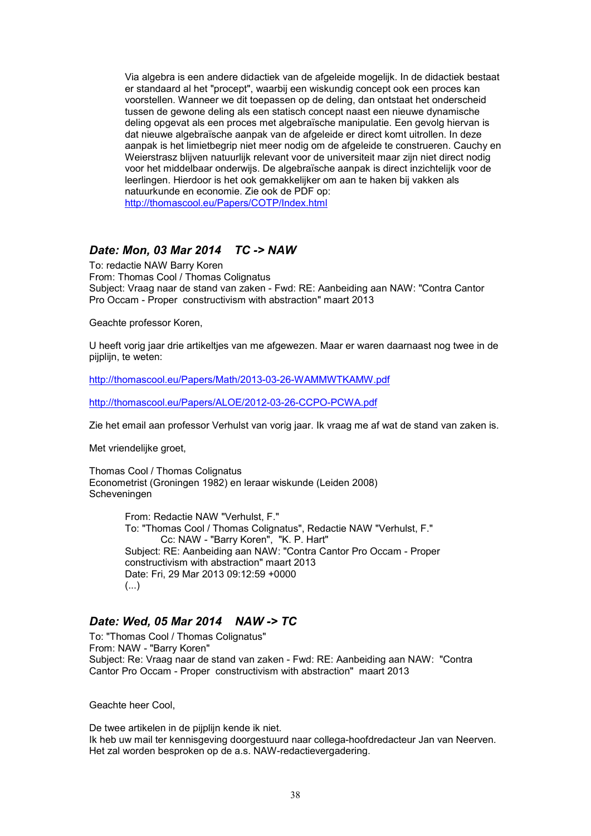Via algebra is een andere didactiek van de afgeleide mogelijk. In de didactiek bestaat er standaard al het "procept", waarbij een wiskundig concept ook een proces kan voorstellen. Wanneer we dit toepassen op de deling, dan ontstaat het onderscheid tussen de gewone deling als een statisch concept naast een nieuwe dynamische deling opgevat als een proces met algebraïsche manipulatie. Een gevolg hiervan is dat nieuwe algebraïsche aanpak van de afgeleide er direct komt uitrollen. In deze aanpak is het limietbegrip niet meer nodig om de afgeleide te construeren. Cauchy en Weierstrasz blijven natuurlijk relevant voor de universiteit maar zijn niet direct nodig voor het middelbaar onderwijs. De algebraïsche aanpak is direct inzichtelijk voor de leerlingen. Hierdoor is het ook gemakkelijker om aan te haken bij vakken als natuurkunde en economie. Zie ook de PDF op: http://thomascool.eu/Papers/COTP/Index.html

## *Date: Mon, 03 Mar 2014 TC -> NAW*

To: redactie NAW Barry Koren From: Thomas Cool / Thomas Colignatus Subject: Vraag naar de stand van zaken - Fwd: RE: Aanbeiding aan NAW: "Contra Cantor Pro Occam - Proper constructivism with abstraction" maart 2013

Geachte professor Koren,

U heeft vorig jaar drie artikeltjes van me afgewezen. Maar er waren daarnaast nog twee in de pijplijn, te weten:

http://thomascool.eu/Papers/Math/2013-03-26-WAMMWTKAMW.pdf

http://thomascool.eu/Papers/ALOE/2012-03-26-CCPO-PCWA.pdf

Zie het email aan professor Verhulst van vorig jaar. Ik vraag me af wat de stand van zaken is.

Met vriendelijke groet,

Thomas Cool / Thomas Colignatus Econometrist (Groningen 1982) en leraar wiskunde (Leiden 2008) Scheveningen

> From: Redactie NAW "Verhulst, F." To: "Thomas Cool / Thomas Colignatus", Redactie NAW "Verhulst, F." Cc: NAW - "Barry Koren", "K. P. Hart" Subject: RE: Aanbeiding aan NAW: "Contra Cantor Pro Occam - Proper constructivism with abstraction" maart 2013 Date: Fri, 29 Mar 2013 09:12:59 +0000 (...)

# *Date: Wed, 05 Mar 2014 NAW -> TC*

To: "Thomas Cool / Thomas Colignatus" From: NAW - "Barry Koren" Subject: Re: Vraag naar de stand van zaken - Fwd: RE: Aanbeiding aan NAW: "Contra Cantor Pro Occam - Proper constructivism with abstraction" maart 2013

Geachte heer Cool,

De twee artikelen in de pijplijn kende ik niet. Ik heb uw mail ter kennisgeving doorgestuurd naar collega-hoofdredacteur Jan van Neerven. Het zal worden besproken op de a.s. NAW-redactievergadering.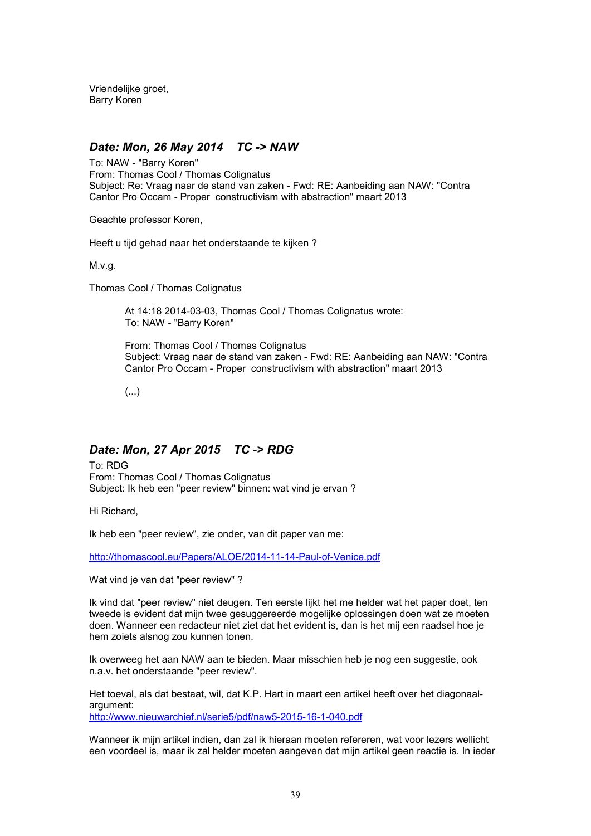Vriendelijke groet, Barry Koren

## *Date: Mon, 26 May 2014 TC -> NAW*

To: NAW - "Barry Koren" From: Thomas Cool / Thomas Colignatus Subject: Re: Vraag naar de stand van zaken - Fwd: RE: Aanbeiding aan NAW: "Contra Cantor Pro Occam - Proper constructivism with abstraction" maart 2013

Geachte professor Koren,

Heeft u tijd gehad naar het onderstaande te kijken ?

M.v.g.

Thomas Cool / Thomas Colignatus

At 14:18 2014-03-03, Thomas Cool / Thomas Colignatus wrote: To: NAW - "Barry Koren"

From: Thomas Cool / Thomas Colignatus Subject: Vraag naar de stand van zaken - Fwd: RE: Aanbeiding aan NAW: "Contra Cantor Pro Occam - Proper constructivism with abstraction" maart 2013

(...)

# *Date: Mon, 27 Apr 2015 TC -> RDG*

To: RDG From: Thomas Cool / Thomas Colignatus Subject: Ik heb een "peer review" binnen: wat vind je ervan ?

Hi Richard,

Ik heb een "peer review", zie onder, van dit paper van me:

http://thomascool.eu/Papers/ALOE/2014-11-14-Paul-of-Venice.pdf

Wat vind je van dat "peer review" ?

Ik vind dat "peer review" niet deugen. Ten eerste lijkt het me helder wat het paper doet, ten tweede is evident dat mijn twee gesuggereerde mogelijke oplossingen doen wat ze moeten doen. Wanneer een redacteur niet ziet dat het evident is, dan is het mij een raadsel hoe je hem zoiets alsnog zou kunnen tonen.

Ik overweeg het aan NAW aan te bieden. Maar misschien heb je nog een suggestie, ook n.a.v. het onderstaande "peer review".

Het toeval, als dat bestaat, wil, dat K.P. Hart in maart een artikel heeft over het diagonaalargument: http://www.nieuwarchief.nl/serie5/pdf/naw5-2015-16-1-040.pdf

Wanneer ik mijn artikel indien, dan zal ik hieraan moeten refereren, wat voor lezers wellicht een voordeel is, maar ik zal helder moeten aangeven dat mijn artikel geen reactie is. In ieder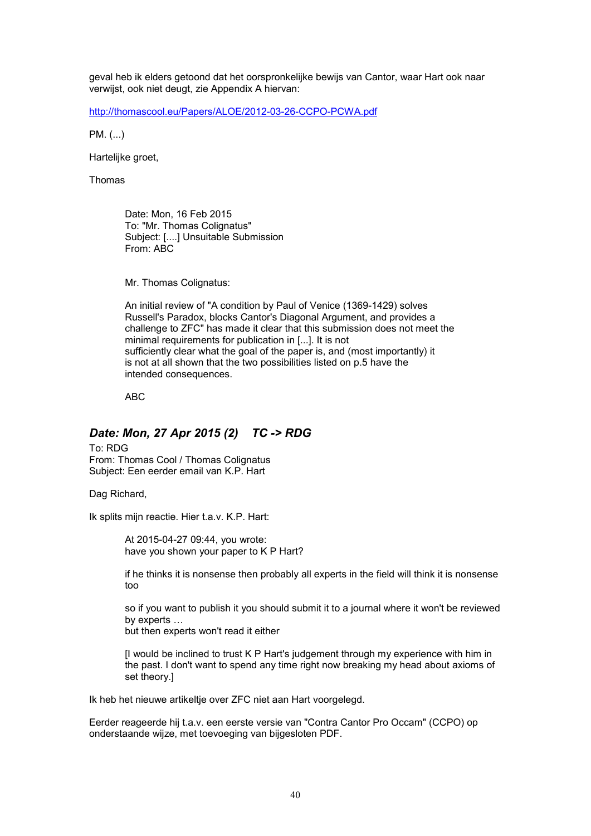geval heb ik elders getoond dat het oorspronkelijke bewijs van Cantor, waar Hart ook naar verwijst, ook niet deugt, zie Appendix A hiervan:

http://thomascool.eu/Papers/ALOE/2012-03-26-CCPO-PCWA.pdf

PM. (...)

Hartelijke groet,

Thomas

Date: Mon, 16 Feb 2015 To: "Mr. Thomas Colignatus" Subject: [....] Unsuitable Submission From: ABC

Mr. Thomas Colignatus:

An initial review of "A condition by Paul of Venice (1369-1429) solves Russell's Paradox, blocks Cantor's Diagonal Argument, and provides a challenge to ZFC" has made it clear that this submission does not meet the minimal requirements for publication in [...]. It is not sufficiently clear what the goal of the paper is, and (most importantly) it is not at all shown that the two possibilities listed on p.5 have the intended consequences.

ABC

# *Date: Mon, 27 Apr 2015 (2) TC -> RDG*

To: RDG From: Thomas Cool / Thomas Colignatus Subject: Een eerder email van K.P. Hart

Dag Richard,

Ik splits mijn reactie. Hier t.a.v. K.P. Hart:

At 2015-04-27 09:44, you wrote: have you shown your paper to K P Hart?

if he thinks it is nonsense then probably all experts in the field will think it is nonsense too

so if you want to publish it you should submit it to a journal where it won't be reviewed by experts ...

but then experts won't read it either

[I would be inclined to trust K P Hart's judgement through my experience with him in the past. I don't want to spend any time right now breaking my head about axioms of set theory.]

Ik heb het nieuwe artikeltje over ZFC niet aan Hart voorgelegd.

Eerder reageerde hij t.a.v. een eerste versie van "Contra Cantor Pro Occam" (CCPO) op onderstaande wijze, met toevoeging van bijgesloten PDF.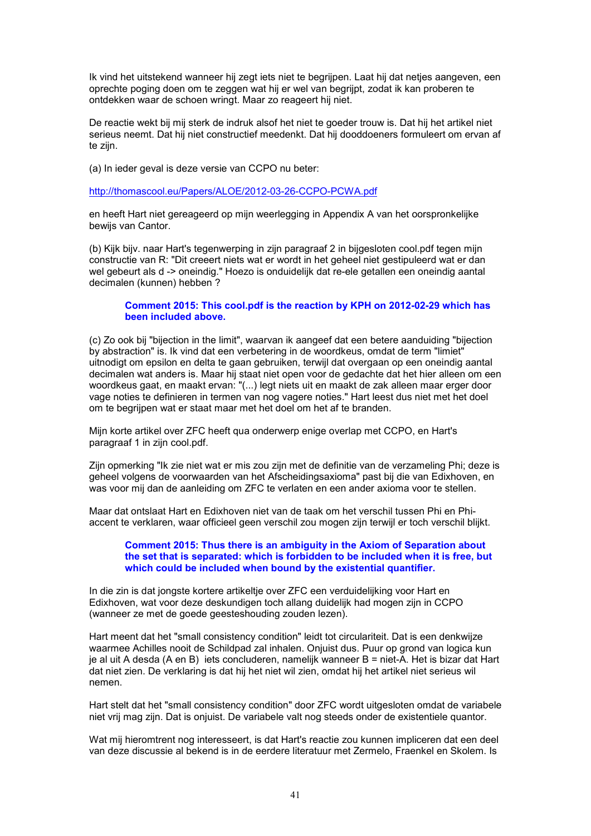Ik vind het uitstekend wanneer hij zegt iets niet te begrijpen. Laat hij dat netjes aangeven, een oprechte poging doen om te zeggen wat hij er wel van begrijpt, zodat ik kan proberen te ontdekken waar de schoen wringt. Maar zo reageert hij niet.

De reactie wekt bij mij sterk de indruk alsof het niet te goeder trouw is. Dat hij het artikel niet serieus neemt. Dat hij niet constructief meedenkt. Dat hij dooddoeners formuleert om ervan af te zijn.

(a) In ieder geval is deze versie van CCPO nu beter:

http://thomascool.eu/Papers/ALOE/2012-03-26-CCPO-PCWA.pdf

en heeft Hart niet gereageerd op mijn weerlegging in Appendix A van het oorspronkelijke bewijs van Cantor.

(b) Kijk bijv. naar Hart's tegenwerping in zijn paragraaf 2 in bijgesloten cool.pdf tegen mijn constructie van R: "Dit creeert niets wat er wordt in het geheel niet gestipuleerd wat er dan wel gebeurt als d -> oneindig." Hoezo is onduidelijk dat re-ele getallen een oneindig aantal decimalen (kunnen) hebben ?

#### **Comment 2015: This cool.pdf is the reaction by KPH on 2012-02-29 which has been included above.**

(c) Zo ook bij "bijection in the limit", waarvan ik aangeef dat een betere aanduiding "bijection by abstraction" is. Ik vind dat een verbetering in de woordkeus, omdat de term "limiet" uitnodigt om epsilon en delta te gaan gebruiken, terwijl dat overgaan op een oneindig aantal decimalen wat anders is. Maar hij staat niet open voor de gedachte dat het hier alleen om een woordkeus gaat, en maakt ervan: "(...) legt niets uit en maakt de zak alleen maar erger door vage noties te definieren in termen van nog vagere noties." Hart leest dus niet met het doel om te begrijpen wat er staat maar met het doel om het af te branden.

Mijn korte artikel over ZFC heeft qua onderwerp enige overlap met CCPO, en Hart's paragraaf 1 in zijn cool.pdf.

Zijn opmerking "Ik zie niet wat er mis zou zijn met de definitie van de verzameling Phi; deze is geheel volgens de voorwaarden van het Afscheidingsaxioma" past bij die van Edixhoven, en was voor mij dan de aanleiding om ZFC te verlaten en een ander axioma voor te stellen.

Maar dat ontslaat Hart en Edixhoven niet van de taak om het verschil tussen Phi en Phiaccent te verklaren, waar officieel geen verschil zou mogen zijn terwijl er toch verschil blijkt.

#### **Comment 2015: Thus there is an ambiguity in the Axiom of Separation about the set that is separated: which is forbidden to be included when it is free, but which could be included when bound by the existential quantifier.**

In die zin is dat jongste kortere artikeltje over ZFC een verduidelijking voor Hart en Edixhoven, wat voor deze deskundigen toch allang duidelijk had mogen zijn in CCPO (wanneer ze met de goede geesteshouding zouden lezen).

Hart meent dat het "small consistency condition" leidt tot circulariteit. Dat is een denkwijze waarmee Achilles nooit de Schildpad zal inhalen. Onjuist dus. Puur op grond van logica kun je al uit A desda (A en B) iets concluderen, namelijk wanneer B = niet-A. Het is bizar dat Hart dat niet zien. De verklaring is dat hij het niet wil zien, omdat hij het artikel niet serieus wil nemen.

Hart stelt dat het "small consistency condition" door ZFC wordt uitgesloten omdat de variabele niet vrij mag zijn. Dat is onjuist. De variabele valt nog steeds onder de existentiele quantor.

Wat mij hieromtrent nog interesseert, is dat Hart's reactie zou kunnen impliceren dat een deel van deze discussie al bekend is in de eerdere literatuur met Zermelo, Fraenkel en Skolem. Is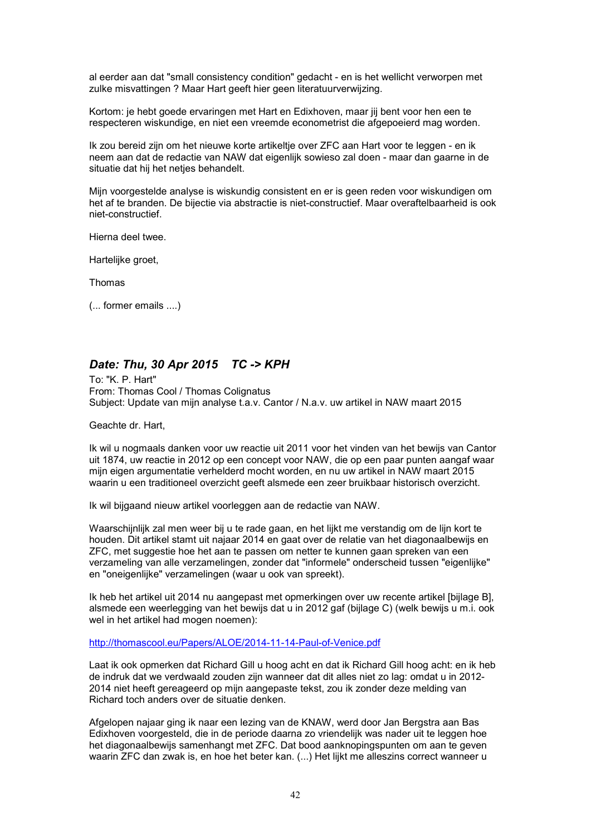al eerder aan dat "small consistency condition" gedacht - en is het wellicht verworpen met zulke misvattingen ? Maar Hart geeft hier geen literatuurverwijzing.

Kortom: je hebt goede ervaringen met Hart en Edixhoven, maar jij bent voor hen een te respecteren wiskundige, en niet een vreemde econometrist die afgepoeierd mag worden.

Ik zou bereid zijn om het nieuwe korte artikeltje over ZFC aan Hart voor te leggen - en ik neem aan dat de redactie van NAW dat eigenlijk sowieso zal doen - maar dan gaarne in de situatie dat hij het netjes behandelt.

Mijn voorgestelde analyse is wiskundig consistent en er is geen reden voor wiskundigen om het af te branden. De bijectie via abstractie is niet-constructief. Maar overaftelbaarheid is ook niet-constructief.

Hierna deel twee.

Hartelijke groet,

Thomas

(... former emails ....)

# *Date: Thu, 30 Apr 2015 TC -> KPH*

To: "K. P. Hart" From: Thomas Cool / Thomas Colignatus Subject: Update van mijn analyse t.a.v. Cantor / N.a.v. uw artikel in NAW maart 2015

Geachte dr. Hart,

Ik wil u nogmaals danken voor uw reactie uit 2011 voor het vinden van het bewijs van Cantor uit 1874, uw reactie in 2012 op een concept voor NAW, die op een paar punten aangaf waar mijn eigen argumentatie verhelderd mocht worden, en nu uw artikel in NAW maart 2015 waarin u een traditioneel overzicht geeft alsmede een zeer bruikbaar historisch overzicht.

Ik wil bijgaand nieuw artikel voorleggen aan de redactie van NAW.

Waarschijnlijk zal men weer bij u te rade gaan, en het lijkt me verstandig om de lijn kort te houden. Dit artikel stamt uit najaar 2014 en gaat over de relatie van het diagonaalbewijs en ZFC, met suggestie hoe het aan te passen om netter te kunnen gaan spreken van een verzameling van alle verzamelingen, zonder dat "informele" onderscheid tussen "eigenlijke" en "oneigenlijke" verzamelingen (waar u ook van spreekt).

Ik heb het artikel uit 2014 nu aangepast met opmerkingen over uw recente artikel [bijlage B], alsmede een weerlegging van het bewijs dat u in 2012 gaf (bijlage C) (welk bewijs u m.i. ook wel in het artikel had mogen noemen):

http://thomascool.eu/Papers/ALOE/2014-11-14-Paul-of-Venice.pdf

Laat ik ook opmerken dat Richard Gill u hoog acht en dat ik Richard Gill hoog acht: en ik heb de indruk dat we verdwaald zouden zijn wanneer dat dit alles niet zo lag: omdat u in 2012- 2014 niet heeft gereageerd op mijn aangepaste tekst, zou ik zonder deze melding van Richard toch anders over de situatie denken.

Afgelopen najaar ging ik naar een lezing van de KNAW, werd door Jan Bergstra aan Bas Edixhoven voorgesteld, die in de periode daarna zo vriendelijk was nader uit te leggen hoe het diagonaalbewijs samenhangt met ZFC. Dat bood aanknopingspunten om aan te geven waarin ZFC dan zwak is, en hoe het beter kan. (...) Het lijkt me alleszins correct wanneer u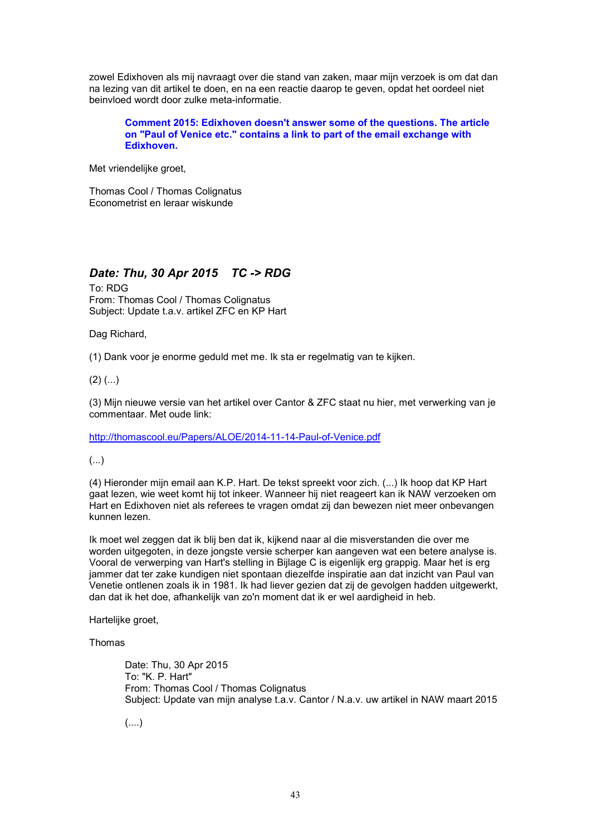zowel Edixhoven als mij navraagt over die stand van zaken, maar mijn verzoek is om dat dan na lezing van dit artikel te doen, en na een reactie daarop te geven, opdat het oordeel niet beinvloed wordt door zulke meta-informatie.

**Comment 2015: Edixhoven doesn't answer some of the questions. The article on "Paul of Venice etc." contains a link to part of the email exchange with Edixhoven.**

Met vriendelijke groet,

Thomas Cool / Thomas Colignatus Econometrist en leraar wiskunde

# *Date: Thu, 30 Apr 2015 TC -> RDG*

To: RDG From: Thomas Cool / Thomas Colignatus Subject: Update t.a.v. artikel ZFC en KP Hart

Dag Richard,

(1) Dank voor je enorme geduld met me. Ik sta er regelmatig van te kijken.

 $(2)$   $(...)$ 

(3) Mijn nieuwe versie van het artikel over Cantor & ZFC staat nu hier, met verwerking van je commentaar. Met oude link:

http://thomascool.eu/Papers/ALOE/2014-11-14-Paul-of-Venice.pdf

(...)

(4) Hieronder mijn email aan K.P. Hart. De tekst spreekt voor zich. (...) Ik hoop dat KP Hart gaat lezen, wie weet komt hij tot inkeer. Wanneer hij niet reageert kan ik NAW verzoeken om Hart en Edixhoven niet als referees te vragen omdat zij dan bewezen niet meer onbevangen kunnen lezen.

Ik moet wel zeggen dat ik blij ben dat ik, kijkend naar al die misverstanden die over me worden uitgegoten, in deze jongste versie scherper kan aangeven wat een betere analyse is. Vooral de verwerping van Hart's stelling in Bijlage C is eigenlijk erg grappig. Maar het is erg jammer dat ter zake kundigen niet spontaan diezelfde inspiratie aan dat inzicht van Paul van Venetie ontlenen zoals ik in 1981. Ik had liever gezien dat zij de gevolgen hadden uitgewerkt, dan dat ik het doe, afhankelijk van zo'n moment dat ik er wel aardigheid in heb.

Hartelijke groet,

Thomas

Date: Thu, 30 Apr 2015 To: "K. P. Hart" From: Thomas Cool / Thomas Colignatus Subject: Update van mijn analyse t.a.v. Cantor / N.a.v. uw artikel in NAW maart 2015

(....)